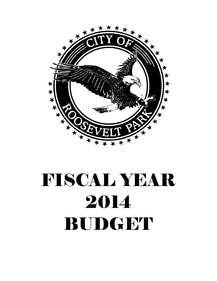

# FISCAL YEAR 2014 BUDGET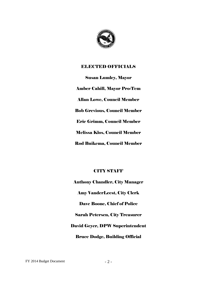

## ELECTED OFFICIALS

Susan Lumley, Mayor Amber Cahill, Mayor Pro-Tem Allan Lowe, Council Member Bob Grevious, Council Member Eric Grimm, Council Member Melissa Klos, Council Member Rod Buikema, Council Member

## CITY STAFF

Anthony Chandler, City Manager Amy VanderLeest, City Clerk Dave Boone, Chief of Police Sarah Petersen, City Treasurer David Geyer, DPW Superintendent Bruce Dodge, Building Official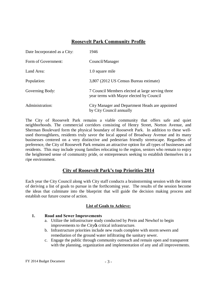## **Roosevelt Park Community Profile**

| Date Incorporated as a City: | 1946                                                                                         |
|------------------------------|----------------------------------------------------------------------------------------------|
| Form of Government:          | Council/Manager                                                                              |
| Land Area:                   | 1.0 square mile                                                                              |
| Population:                  | 3,807 (2012 US Census Bureau estimate)                                                       |
| Governing Body:              | 7 Council Members elected at large serving three<br>year terms with Mayor elected by Council |
| Administration:              | City Manager and Department Heads are appointed<br>by City Council annually                  |

The City of Roosevelt Park remains a viable community that offers safe and quiet neighborhoods. The commercial corridors consisting of Henry Street, Norton Avenue, and Sherman Boulevard form the physical boundary of Roosevelt Park. In addition to these wellused thoroughfares, residents truly savor the local appeal of Broadway Avenue and its many businesses centered on a very distinctive and pedestrian friendly streetscape. Regardless of preference, the City of Roosevelt Park remains an attractive option for all types of businesses and residents. This may include young families relocating to the region, seniors who remain to enjoy the heightened sense of community pride, or entrepreneurs seeking to establish themselves in a ripe environment.

## **City of Roosevelt Park's top Priorities 2014**

Each year the City Council along with City staff conducts a brainstorming session with the intent of deriving a list of goals to pursue in the forthcoming year. The results of the session become the ideas that culminate into the blueprint that will guide the decision making process and establish our future course of action.

#### **List of Goals to Achieve:**

#### **1. Road and Sewer Improvements**

- a. Utilize the infrastructure study conducted by Prein and Newhof to begin improvements to the City os critical infrastructure.
- b. Infrastructure priorities include new roads complete with storm sewers and remediation of the ground water infiltrating the sanitary sewer.
- c. Engage the public through community outreach and remain open and transparent with the planning, organization and implementation of any and all improvements.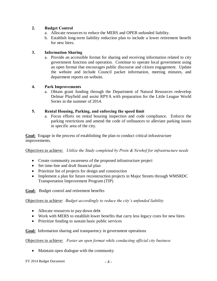#### **2. Budget Control**

- a. Allocate resources to reduce the MERS and OPEB unfunded liability.
- b. Establish long-term liability reduction plan to include a lower retirement benefit for new hires.

#### **3. Information Sharing**

a. Provide an accessible format for sharing and receiving information related to city government function and operation. Continue to operate local government using an open format that encourages public discourse and citizen engagement. Update the website and include Council packet information, meeting minutes, and department reports on website.

#### **4. Park Improvements**

a. Obtain grant funding through the Department of Natural Resources redevelop Delmar Playfield and assist RPYA with preparation for the Little League World Series in the summer of 2014.

#### **5. Rental Housing, Parking, and enforcing the speed limit**

a. Focus efforts on rental housing inspection and code compliance. Enforce the parking restrictions and amend the code of ordinances to alleviate parking issues in specific area of the city.

**Goal:** Engage in the process of establishing the plan to conduct critical infrastructure improvements.

Objectives to achieve: *Utilize the Study completed by Prein & Newhof for infrastructure needs*

- Create community awareness of the proposed infrastructure project
- Set time-line and draft financial plan
- Prioritize list of projects for design and construction
- Implement a plan for future reconstruction projects in Major Streets through WMSRDC Transportation Improvement Program (TIP)

**Goal:** Budget control and retirement benefits

Objectives to achieve: *Budget accordingly to reduce the city's unfunded liability* 

- Allocate resources to pay-down debt
- Work with MERS to establish lower benefits that carry less legacy costs for new hires
- Prioritize funding to sustain basic public services

#### **Goal:** Information sharing and transparency in government operations

Objectives to achieve: *Foster an open format while conducting official city business*

- Maintain open dialogue with the community
- FY 2014 Budget Document 4 -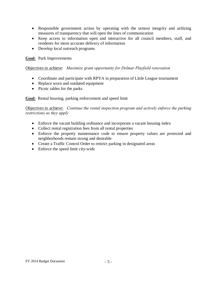- · Responsible government action by operating with the utmost integrity and utilizing measures of transparency that will open the lines of communication
- · Keep access to information open and interactive for all council members, staff, and residents for more accurate delivery of information
- · Develop local outreach programs

#### **Goal:** Park Improvements

#### Objectives to achieve: *Maximize grant opportunity for Delmar Playfield renovation*

- Coordinate and participate with RPYA in preparation of Little League tournament
- · Replace worn and outdated equipment
- Picnic tables for the parks

#### **Goal:** Rental housing, parking enforcement and speed limit

Objectives to achieve: *Continue the rental inspection program and actively enforce the parking restrictions as they apply*

- Enforce the vacant building ordinance and incorporate a vacant housing index
- Collect rental registration fees from all rental properties
- · Enforce the property maintenance code to ensure property values are protected and neighborhoods remain strong and desirable
- Create a Traffic Control Order to restrict parking in designated areas
- Enforce the speed limit city-wide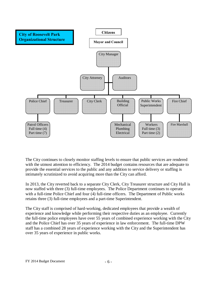

The City continues to closely monitor staffing levels to ensure that public services are rendered with the utmost attention to efficiency. The 2014 budget contains resources that are adequate to provide the essential services to the public and any addition to service delivery or staffing is intimately scrutinized to avoid acquiring more than the City can afford.

In 2013, the City reverted back to a separate City Clerk, City Treasurer structure and City Hall is now staffed with three (3) full-time employees. The Police Department continues to operate with a full-time Police Chief and four (4) full-time officers. The Department of Public works retains three (3) full-time employees and a part-time Superintendent.

The City staff is comprised of hard-working, dedicated employees that provide a wealth of experience and knowledge while performing their respective duties as an employee. Currently the full-time police employees have over 55 years of combined experience working with the City and the Police Chief has over 35 years of experience in law enforcement. The full-time DPW staff has a combined 28 years of experience working with the City and the Superintendent has over 35 years of experience in public works.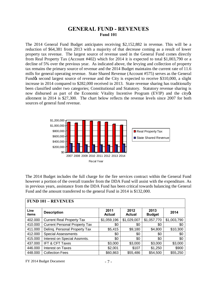## **GENERAL FUND - REVENUES Fund 101**

The 2014 General Fund Budget anticipates receiving \$2,152,882 in revenue. This will be a reduction of \$64,381 from 2013 with a majority of that decrease coming as a result of lower property tax revenue. The largest source of revenue used in the General Fund comes directly from Real Property Tax (Account #402) which for 2014 it is expected to total \$1,003,790 or a decline of 5% over the previous year. As indicated above, the levying and collection of property tax remains the primary source of revenue and the 2014 Budget maintains the current rate of 11.6 mills for general operating revenue. State Shared Revenue (Account #575) serves as the General Fundos second largest source of revenue and the City is expected to receive \$310,000, a slight increase in 2014 compared to \$282,000 received in 2013. State revenue sharing has traditionally been classified under two categories; Constitutional and Statutory. Statutory revenue sharing is now disbursed as part of the Economic Vitality Incentive Program (EVIP) and the city of allotment in 2014 is \$27,300. The chart below reflects the revenue levels since 2007 for both sources of general fund revenue.



The 2014 Budget includes the full charge for the fire services contract within the General Fund however a portion of the overall transfer from the DDA Fund will assist with the expenditure. As in previous years, assistance from the DDA Fund has been critical towards balancing the General Fund and the amount transferred to the general Fund in 2014 is \$132,000.

|               | <b>FUND 101 - REVENUES</b>           |                       |                       |                       |             |
|---------------|--------------------------------------|-----------------------|-----------------------|-----------------------|-------------|
| Line<br>items | <b>Description</b>                   | 2011<br><b>Actual</b> | 2012<br><b>Actual</b> | 2013<br><b>Budget</b> | 2014        |
| 402.000       | <b>Current Real Property Tax</b>     | \$1,059,196           | \$1,029,007           | \$1,057,770           | \$1,003,790 |
| 410.000       | <b>Current Personal Property Tax</b> | \$0                   | \$0                   | \$0                   | \$0         |
| 411.000       | Deling. Personal Property Tax        | \$5,415               | \$9,180               | \$4,800               | \$10,300    |
| 412.000       | <b>Special Assessments</b>           | \$0                   | \$0                   | \$0                   | \$0         |
| 415.000       | Interest on Special Assmnts.         | \$0                   | \$0                   | \$0                   | \$0         |
| 437.000       | IFT & CFT Taxes                      | \$3,000               | \$3,000               | \$3,000               | \$3,000     |
| 446.000       | Interest on Taxes                    | \$2,001               | \$107                 | \$1,250               | \$900       |
| 448.000       | <b>Collection Fees</b>               | \$60,863              | \$55,486              | \$54,500              | \$55,250    |

 $FY$  2014 Budget Document  $-7 -$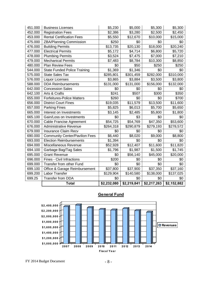| 451.000 | <b>Business Licenses</b>              | \$5,230     | \$5,000     | \$5,300     | \$5,300     |
|---------|---------------------------------------|-------------|-------------|-------------|-------------|
| 452.000 | <b>Registration Fees</b>              | \$2,386     | \$3,280     | \$2,500     | \$2,450     |
| 453.000 | <b>Rental Certification Fees</b>      | \$5,550     | \$12,670    | \$10,000    | \$15,000    |
| 475.000 | <b>ZBA/Planning Commission</b>        | \$250       | \$0         | \$0         | \$0         |
| 476.000 | <b>Building Permits</b>               | \$13,735    | \$20,130    | \$18,000    | \$20,240    |
| 477.000 | <b>Electrical Permits</b>             | \$5,172     | \$4,714     | \$6,800     | \$5,720     |
| 478.000 | <b>Plumbing Permits</b>               | \$3,524     | \$7,475     | \$7,000     | \$7,210     |
| 479.000 | <b>Mechanical Permits</b>             | \$7,483     | \$8,784     | \$10,300    | \$8,850     |
| 480.000 | Plan Review Fees                      | \$0         | \$50        | \$250       | \$250       |
| 544.000 | <b>State Funded Police Training</b>   | \$1,369     | \$1,346     | \$0         | \$0         |
| 575.000 | <b>State Sales Tax</b>                | \$285,801   | \$301,459   | \$282,000   | \$310,000   |
| 576.000 | Liquor Licenses                       | \$3,865     | \$3,884     | \$3,500     | \$3,800     |
| 588.000 | <b>DDA Reimbursements</b>             | \$131,000   | \$131,000   | \$156,000   | \$132,000   |
| 642.000 | <b>Concession Sales</b>               | \$0         | \$0         | \$0         | \$0         |
| 642.100 | Arts & Crafts                         | \$241       | \$507       | \$300       | \$350       |
| 655.000 | <b>Forfeitures-Police Matters</b>     | \$260       | \$0         | \$0         | \$700       |
| 656.000 | <b>District Court Fines</b>           | \$19,035    | \$11,579    | \$13,500    | \$11,600    |
| 657.000 | <b>Parking Fines</b>                  | \$5,825     | \$6,013     | \$5,700     | \$5,650     |
| 665.000 | Interest on Investments               | \$3,145     | \$2,485     | \$5,800     | \$1,800     |
| 665.100 | Gain/Loss on Investments              | \$0         | \$3         | \$0         | \$0         |
| 670.000 | Cable Francise Agreement              | \$54,725    | \$54,769    | \$47,350    | \$53,600    |
| 676.000 | <b>Administrative Revenue</b>         | \$264,318   | \$290,879   | \$279,193   | \$278,572   |
| 679.000 | <b>Insurance Claim Recv</b>           | \$0         | \$0         | \$0         | \$0         |
| 690.000 | <b>Community Center/Pavilion Fees</b> | \$6,440     | \$8,020     | \$9,000     | \$8,800     |
| 693.000 | <b>Election Reimbursements</b>        | \$1,394     | \$0         | \$0         | \$0         |
| 694.000 | Miscellaneous Revenue                 | \$52,928    | \$12,407    | \$11,600    | \$11,820    |
| 694.100 | Garbage Bag/Tag Sales                 | \$1,796     | \$1,987     | \$1,500     | \$1,745     |
| 695.000 | <b>Grant Revenue</b>                  | \$0         | \$56,140    | \$45,000    | \$20,000    |
| 696.000 | <b>Fines - Civil Infractions</b>      | \$200       | \$0         | \$0         | \$0         |
| 699.000 | Transfer from other Fund              | \$0         | \$0         | \$0         | \$0         |
| 699.100 | Office & Garage Reimbursement         | \$37,800    | \$37,900    | \$37,350    | \$37,160    |
| 699.200 | Labor Transfer                        | \$129,904   | \$140,580   | \$138,000   | \$137,025   |
| 699.25  | Transfer from DDA                     | \$0         | \$0         | \$0         | \$0         |
|         | <b>Total</b>                          | \$2,232,080 | \$2,219,841 | \$2,217,263 | \$2,152,882 |



## **General Fund**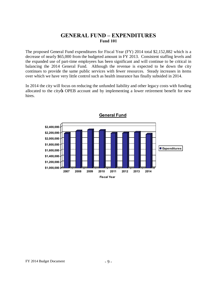## **GENERAL FUND – EXPENDITURES Fund 101**

The proposed General Fund expenditures for Fiscal Year (FY) 2014 total \$2,152,882 which is a decrease of nearly \$65,000 from the budgeted amount in FY 2013. Consistent staffing levels and the expanded use of part-time employees has been significant and will continue to be critical in balancing the 2014 General Fund. Although the revenue is expected to be down the city continues to provide the same public services with fewer resources. Steady increases in items over which we have very little control such as health insurance has finally subsided in 2014.

In 2014 the city will focus on reducing the unfunded liability and other legacy costs with funding allocated to the city of OPEB account and by implementing a lower retirement benefit for new hires.

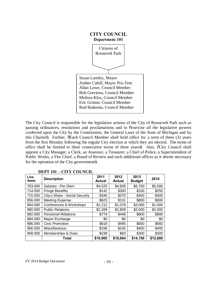

The City Council is responsible for the legislative actions of the City of Roosevelt Park such as passing ordinances, resolutions and proclamations and to  $\tilde{c}$  exercise all the legislative powers conferred upon the City by the Constitution, the General Laws of the State of Michigan and by this Charterö. Further,  $\tilde{\sigma}$ Each Council Member shall hold office for a term of three (3) years from the first Monday following the regular City election at which they are elected. The terms of office shall be limited to three consecutive terms of three yearsö. Also,  $\tilde{c}$ City Council shall appoint a City Manager, a Clerk, an Assessor, a Treasurer, a Chief of Police, a Superintendent of Public Works, a Fire Chief, a Board of Review and such additional offices as it deems necessary for the operation of the City governmentö.

| Line<br>items | <b>Description</b>             | 2011<br><b>Actual</b> | 2012<br><b>Actual</b> | 2013<br><b>Budget</b> | 2014     |
|---------------|--------------------------------|-----------------------|-----------------------|-----------------------|----------|
| 703.000       | Salaries - Per Diem            | \$4,525               | \$4,835               | \$5,700               | \$5,500  |
| 714.000       | <b>Fringe Benefits</b>         | \$142                 | \$300                 | \$100                 | \$250    |
| 715.000       | City's Share - Social Security | \$346                 | \$370                 | \$400                 | \$400    |
| 856.000       | <b>Meeting Expense</b>         | \$623                 | \$131                 | \$800                 | \$800    |
| 864.000       | Conferences & Workshops        | \$1,212               | \$1,078               | \$3,000               | \$1,500  |
| 880.000       | <b>Public Relations</b>        | \$2,269               | \$2,809               | \$2,000               | \$2,000  |
| 882.000       | <b>Personnel Relations</b>     | \$774                 | \$448                 | \$800                 | \$800    |
| 884.000       | Mayor Exchange                 | \$0                   | \$0                   | \$0                   | \$0      |
| 886.000       | Civic Promotion                | \$618                 | \$495                 | \$650                 | \$650    |
| 956.000       | Miscellaneous                  | \$158                 | \$145                 | \$400                 | \$400    |
| 958.000       | Memberships & Dues             | \$238                 | \$83                  | \$300                 | \$300    |
|               | Total                          | \$10,905              | \$10,694              | \$14,150              | \$12,600 |

#### **DEPT 101 – CITY COUNCIL**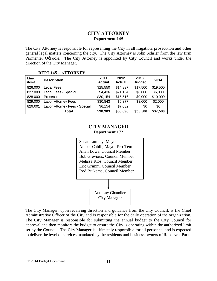## **CITY ATTORNEY Department 145**

The City Attorney is responsible for representing the City in all litigation, prosecution and other general legal matters concerning the city. The City Attorney is John Schrier from the law firm Parmenter OøToole. The City Attorney is appointed by City Council and works under the direction of the City Manager.

#### **DEPT 145 – ATTORNEY**

| Line<br>items | <b>Description</b>            | 2011<br><b>Actual</b> | 2012<br><b>Actual</b> | 2013<br><b>Budget</b> | 2014     |
|---------------|-------------------------------|-----------------------|-----------------------|-----------------------|----------|
| 826.000       | Legal Fees                    | \$25,550              | \$14,837              | \$17,500              | \$19,500 |
| 827.000       | Legal Fees - Special          | \$4,436               | \$21,134              | \$6,000               | \$6,000  |
| 828.000       | Prosecution                   | \$30,154              | \$15,516              | \$9,000               | \$10,000 |
| 829.000       | <b>Labor Attorney Fees</b>    | \$30,843              | \$5,377               | \$3,000               | \$2,000  |
| 829.001       | Labor Attorney Fees - Special | \$6,154               | \$7,032               | \$0                   | \$0      |
|               | Total                         | \$90,983              | \$63,896              | \$35,500              | \$37,500 |

#### **CITY MANAGER Department 172**



The City Manager, upon receiving direction and guidance from the City Council, is the Chief Administrative Officer of the City and is responsible for the daily operation of the organization. The City Manager is responsible for submitting the annual budget to the City Council for approval and then monitors the budget to ensure the City is operating within the authorized limit set by the Council. The City Manager is ultimately responsible for all personnel and is expected to deliver the level of services mandated by the residents and business owners of Roosevelt Park.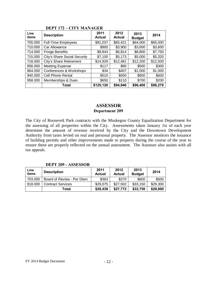| Line<br>items | <b>Description</b>             | 2011<br><b>Actual</b> | 2012<br><b>Actual</b> | 2013<br><b>Budget</b> | 2014     |
|---------------|--------------------------------|-----------------------|-----------------------|-----------------------|----------|
| 705.000       | <b>Full-Time Employees</b>     | \$91,037              | \$65,421              | \$64,000              | \$65,000 |
| 710.000       | Car Allowance                  | \$900                 | \$3,900               | \$3,600               | \$3,600  |
| 714.000       | <b>Fringe Benefits</b>         | \$9,843               | \$6,814               | \$8,800               | \$7,750  |
| 715.000       | City's Share Social Security   | \$7,100               | \$5,173               | \$5,000               | \$5,320  |
| 718.000       | <b>City's Share Retirement</b> | \$14,929              | \$12,481              | \$12,200              | \$12,500 |
| 856.000       | <b>Meeting Expense</b>         | \$117                 | \$90                  | \$500                 | \$300    |
| 864.000       | Conferences & Workshops        | \$34                  | \$407                 | \$1,000               | \$1,000  |
| 940.000       | Cell Phone Rental              | \$510                 | \$550                 | \$600                 | \$600    |
| 958.000       | Memberships & Dues             | \$650                 | \$110                 | \$700                 | \$200    |
|               | Total                          | \$125,120             | \$94,946              | \$96,400              | \$96,270 |

#### **DEPT 172 – CITY MANAGER**

## **ASSESSOR Department 209**

The City of Roosevelt Park contracts with the Muskegon County Equalization Department for the assessing of all properties within the City. Assessments taken January 1st of each year determine the amount of revenue received by the City and the Downtown Development Authority from taxes levied on real and personal property. The Assessor monitors the issuance of building permits and other improvements made to property during the course of the year to ensure these are properly reflected on the annual assessment. The Assessor also assists with all tax appeals.

#### **DEPT 209 - ASSESSOR**

| Line<br>items | <b>Description</b>         | 2011<br><b>Actual</b> | 2012<br><b>Actual</b> | 2013<br><b>Budget</b> | 2014     |
|---------------|----------------------------|-----------------------|-----------------------|-----------------------|----------|
| 703.000       | Board of Review - Per Diem | \$363                 | \$270                 | \$600                 | \$500    |
| 818.000       | <b>Contract Services</b>   | \$29,075              | \$27,502              | \$33,150              | \$29,300 |
|               | Total                      | \$29,438              | \$27,772              | \$33,750              | \$29,800 |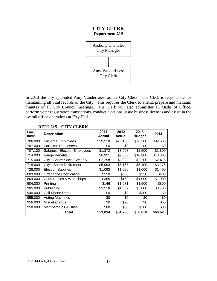## **CITY CLERK Department 215**



In 2013 the city appointed Amy VanderLeest as the City Clerk. The Clerk is responsible for maintaining all vital records of the City. This requires the Clerk to attend, prepare and maintain minutes of all City Council meetings. The Clerk will also administer all Oaths of Office, perform voter registration transactions, conduct elections, issue business licenses and assist in the overall office operations at City Hall.

| Line<br>items | <b>Description</b>            | 2011<br>Actual | 2012<br><b>Actual</b> | 2013<br><b>Budget</b> | 2014     |
|---------------|-------------------------------|----------------|-----------------------|-----------------------|----------|
| 706.000       | <b>Full-time Employees</b>    | \$29,518       | \$28,106              | \$28,500              | \$32,500 |
| 707.000       | Part-time Employees           | \$0            | \$0                   | \$0                   | \$0      |
| 707.100       | Salaries - Election Employees | \$1,372        | \$3,598               | \$2,500               | \$1,800  |
| 714.000       | <b>Fringe Benefits</b>        | \$6,921        | \$9,683               | \$10,800              | \$13,300 |
| 715.000       | City's Share Social Security  | \$2,258        | \$2,082               | \$2,200               | \$2,415  |
| 718.000       | City's Share Retirement       | \$5,993        | \$5,167               | \$5,100               | \$3,175  |
| 728.000       | <b>Election Supplies</b>      | \$1,093        | \$1,996               | \$1,000               | \$1,400  |
| 809.000       | <b>Ordinance Codification</b> | \$550          | \$550                 | \$550                 | \$400    |
| 864.000       | Conferences & Workshops       | \$365          | \$162                 | \$1,000               | \$1,000  |
| 904.000       | Printing                      | \$146          | \$1,071               | \$1,500               | \$800    |
| 905.000       | Publishing                    | \$3,518        | \$1,687               | \$5,000               | \$3,700  |
| 940.000       | <b>Cell Phone Rental</b>      | \$0            | \$0                   | \$300                 | \$0      |
| 955.000       | <b>Voting Machines</b>        | \$0            | \$0                   | \$0                   | \$0      |
| 956.000       | Miscellaneous                 | \$0            | \$26                  | \$0                   | \$50     |
| 958.000       | Memberships & Dues            | \$80           | \$80                  | \$200                 | \$80     |
|               | Total                         | \$51,814       | \$54,208              | \$58,650              | \$60,620 |

#### **DEPT 215 – CITY CLERK**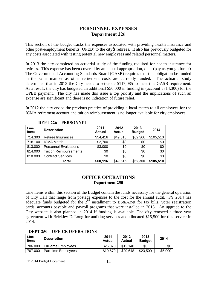## **PERSONNEL EXPENSES Department 226**

This section of the budget tracks the expenses associated with providing health insurance and other post-employment benefits (OPEB) to the city is retirees. It also has previously budgeted for any costs associated with testing potential new employees and related personnel matters.

In 2013 the city completed an actuarial study of the funding required for health insurance for retirees. This expense has been covered by an annual appropriation, on a  $\tilde{\sigma}$  pay as you go basiso. The Governmental Accounting Standards Board (GASB) requires that this obligation be funded in the same manner as other retirement costs are currently funded. The actuarial study determined that in 2013 the City needs to set-aside \$117,085 to meet this GASB requirement. As a result, the city has budgeted an additional \$50,000 in funding in (account #714.300) for the OPEB payment. The city has made this issue a top priority and the implications of such an expense are significant and there is no indication of future relief.

In 2012 the city ended the previous practice of providing a local match to all employees for the ICMA retirement account and tuition reimbursement is no longer available for city employees.

| Line<br>items | <b>Description</b>            | 2011<br><b>Actual</b> | 2012<br><b>Actual</b> | 2013<br><b>Budget</b> | 2014      |
|---------------|-------------------------------|-----------------------|-----------------------|-----------------------|-----------|
| 714.300       | Retiree Insurances            | \$54,416              | \$49,815              | \$62,300              | \$105,510 |
| 718.100       | <b>ICMA Match</b>             | \$2,700               | \$0                   | \$0                   | \$0       |
| 813.000       | <b>Personnel Evaluations</b>  | \$3,000               | \$0                   | \$0                   | \$0       |
| 814.000       | <b>Tuition Reimbursements</b> | \$0                   | \$0                   | \$0                   | \$0       |
| 818.000       | <b>Contract Services</b>      | \$0                   | \$0                   | \$0                   | \$0       |
|               | Total                         | \$60,116              | \$49,815              | \$62,300              | \$105,510 |

#### **DEPT 226 – PERSONNEL**

#### **OFFICE OPERATIONS Department 250**

Line items within this section of the Budget contain the funds necessary for the general operation of City Hall that range from postage expenses to the cost for the annual audit. FY 2014 has adequate funds budgeted for the 2<sup>nd</sup> installment to BS&A.net for tax bills, voter registration cards, accounts payable and payroll programs that were installed in 2013. An upgrade to the City website is also planned in 2014 if funding is available. The city renewed a three year agreement with Brickley DeLong for auditing services and allocated \$15,500 for this service in 2014.

| Line<br>items | <b>Description</b>         | 2011<br><b>Actual</b> | 2012<br>Actual | 2013<br><b>Budget</b> | 2014    |
|---------------|----------------------------|-----------------------|----------------|-----------------------|---------|
| 706.000       | <b>Full-time Employees</b> | \$25,378              | \$12.140       | \$0                   | \$0     |
| 707.000       | Part-time Employees        | \$10,679              | \$29.648       | \$23,500              | \$5,000 |

#### **DEPT 250 – OFFICE OPERATIONS**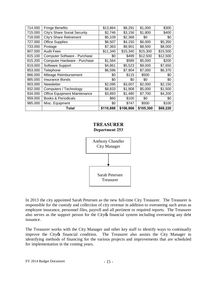| 714.000 | <b>Fringe Benefits</b>         | \$13,864  | \$8,291   | \$1,000   | \$300    |
|---------|--------------------------------|-----------|-----------|-----------|----------|
| 715.000 | City's Share Social Security   | \$2,746   | \$3,156   | \$1,800   | \$400    |
| 718.000 | <b>City's Share Retirement</b> | \$5,109   | \$2,368   | \$0       | \$0      |
| 727.000 | <b>Office Supplies</b>         | \$6,507   | \$4,150   | \$6,000   | \$5,350  |
| 733.000 | Postage                        | \$7,363   | \$9,901   | \$8,500   | \$8,000  |
| 807.000 | <b>Audit Fees</b>              | \$11,340  | \$15,340  | \$15,300  | \$15,500 |
| 815.100 | Computer Software - Purchase   | \$0       | \$499     | \$12,500  | \$12,500 |
| 815.200 | Computer Hardware - Purchase   | \$1,564   | \$589     | \$5,000   | \$200    |
| 819.000 | Software Support               | \$4,861   | \$5,523   | \$9,000   | \$7,650  |
| 853.000 | Telephone                      | \$6,596   | \$7,904   | \$7,000   | \$6,370  |
| 866.000 | Mileage Reimbursement          | \$0       | \$115     | \$500     | \$0      |
| 885.000 | <b>Insurance Bonds</b>         | \$0       | \$0       | \$0       | \$0      |
| 903.000 | <b>Newsletter</b>              | \$2,095   | \$3,007   | \$2,000   | \$2,150  |
| 932.000 | Computers / Technology         | \$8,833   | \$1,908   | \$5,000   | \$1,500  |
| 934.000 | Office Equipment Maintenance   | \$3,893   | \$1,480   | \$7,700   | \$4,200  |
| 959.000 | <b>Books &amp; Periodicals</b> | \$60      | \$100     | \$0       | \$0      |
| 985.000 | Misc. Equipment                | \$0       | \$747     | \$500     | \$100    |
|         | <b>Total</b>                   | \$110,888 | \$106,866 | \$105,300 | \$69,220 |

#### **TREASURER Department 253**



In 2013 the city appointed Sarah Petersen as the new full-time City Treasurer. The Treasurer is responsible for the custody and collection of city revenue in addition to overseeing such areas as employee insurance, personnel files, payroll and all pertinent or required reports. The Treasurer also serves as the support person for the City of financial system including overseeing any debt issuance.

The Treasurer works with the City Manager and other key staff to identify ways to continually improve the City of financial condition. The Treasurer also assists the City Manager in identifying methods of financing for the various projects and improvements that are scheduled for implementation in the coming years.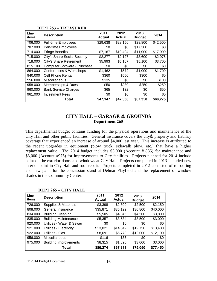| Line<br>items | <b>Description</b>             | 2011<br><b>Actual</b> | 2012<br><b>Actual</b> | 2013<br><b>Budget</b> | 2014     |
|---------------|--------------------------------|-----------------------|-----------------------|-----------------------|----------|
| 706.000       | <b>Full-time Employees</b>     | \$29,638              | \$28,156              | \$28,800              | \$42,500 |
| 707.000       | Part-time Employees            | \$0                   | \$0                   | \$17,300              | \$0      |
| 714.000       | <b>Fringe Benefits</b>         | \$7,167               | \$10,404              | \$11,000              | \$17,000 |
| 715.000       | City's Share Social Security   | \$2,277               | \$2,127               | \$3,600               | \$2,975  |
| 718.000       | <b>City's Share Retirement</b> | \$5,993               | \$5,167               | \$5,100               | \$3,700  |
| 815.100       | Computer Software - Purchase   | \$0                   | \$0                   | \$0                   | \$0      |
| 864.000       | Conferences & Workshops        | \$1,462               | \$672                 | \$1,000               | \$1,700  |
| 940.000       | <b>Cell Phone Rental</b>       | \$360                 | \$550                 | \$300                 | \$0      |
| 956.000       | Miscellaneous                  | \$135                 | \$0                   | \$0                   | \$100    |
| 958.000       | Memberships & Dues             | \$50                  | \$230                 | \$250                 | \$250    |
| 960.000       | <b>Bank Service Charges</b>    | \$65                  | \$32                  | \$0                   | \$50     |
| 961.000       | <b>Investment Fees</b>         | \$0                   | \$0                   | \$0                   | \$0      |
|               | Total                          | \$47,147              | \$47,338              | \$67,350              | \$68,275 |

#### **DEPT 253 – TREASURER**

#### **CITY HALL – GARAGE & GROUNDS Department 265**

This departmental budget contains funding for the physical operations and maintenance of the City Hall and other public facilities. General insurance covers the city to property and liability coverage that experienced an increase of around \$4,000 last year. This increase is attributed to the recent upgrades in equipment (plow truck, sidewalk plow, etc.) that have a higher replacement value. The 2014 budget includes \$3,000 (Account # 835) for maintenance and \$3,000 (Account #975) for improvements to City facilities. Projects planned for 2014 include paint on the exterior doors and windows at City Hall. Projects completed in 2013 included new interior paint in City Hall and roof repair. Projects completed in 2012 consisted of re-roofing and new paint for the concession stand at Delmar Playfield and the replacement of window shades in the Community Center.

| Line<br>items | <b>Description</b>           | 2011<br><b>Actual</b> | 2012<br><b>Actual</b> | 2013<br><b>Budget</b> | 2014     |
|---------------|------------------------------|-----------------------|-----------------------|-----------------------|----------|
| 726.000       | Supplies & Materials         | \$3,398               | \$2,800               | \$2,500               | \$2,150  |
| 808.000       | General Insurance            | \$35,871              | \$35,192              | \$36,800              | \$40,000 |
| 834.000       | <b>Building Cleaning</b>     | \$5,505               | \$4,045               | \$4,500               | \$3,800  |
| 835.000       | <b>Building Maintenance</b>  | \$5,357               | \$3,534               | \$3,500               | \$3,000  |
| 920.000       | Utilities - Water & Sewer    | \$0                   | \$0                   | \$0                   | \$0      |
| 921.000       | Utilities - Electricity      | \$13,021              | \$14,042              | \$12,750              | \$13,400 |
| 922.000       | Utilities - Gas              | \$8,691               | \$5,773               | \$12,000              | \$12,100 |
| 956.000       | Miscellaneous                | \$116                 | \$35                  | \$0                   | \$0      |
| 975.000       | <b>Building Improvements</b> | \$8,315               | \$1,890               | \$3,000               | \$3,000  |
|               | Total                        | \$80,274              | \$67,311              | \$75,050              | \$77,450 |

**DEPT 265 – CITY HALL**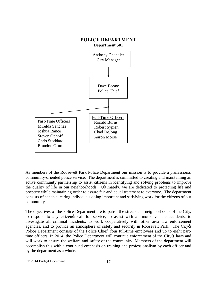

As members of the Roosevelt Park Police Department our mission is to provide a professional community-oriented police service. The department is committed to creating and maintaining an active community partnership to assist citizens in identifying and solving problems to improve the quality of life in our neighborhoods. Ultimately, we are dedicated to protecting life and property while maintaining order to assure fair and equal treatment to everyone. The department consists of capable, caring individuals doing important and satisfying work for the citizens of our community.

The objectives of the Police Department are to patrol the streets and neighborhoods of the City, to respond to any citizengs call for service, to assist with all motor vehicle accidents, to investigate all criminal incidents, to work cooperatively with other area law enforcement agencies, and to provide an atmosphere of safety and security in Roosevelt Park. The City  $\alpha$ Police Department consists of the Police Chief, four full-time employees and up to eight parttime officers. In 2014, the Police Department will continue enforcement of the City os laws and will work to ensure the welfare and safety of the community. Members of the department will accomplish this with a continued emphasis on training and professionalism by each officer and by the department as a whole.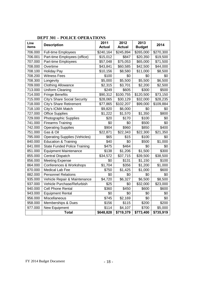| Line<br>items | <b>Description</b>                   | 2011<br><b>Actual</b> | 2012<br><b>Actual</b> | 2013<br><b>Budget</b> | 2014      |
|---------------|--------------------------------------|-----------------------|-----------------------|-----------------------|-----------|
| 706.000       | <b>Full-time Employees</b>           | \$240,164             | \$245,894             | \$265,000             | \$270,300 |
| 706.001       | Part-time Employees (office)         | \$15,012              | $\overline{$847}$     | \$20,350              | \$19,500  |
| 707.000       | Part-time Employees                  | \$57,048              | \$75,053              | \$65,000              | \$71,500  |
| 708.000       | Overtime                             | \$43,841              | \$60,585              | \$42,500              | \$44,000  |
| 708.100       | <b>Holiday Pay</b>                   | \$10,156              | \$8,580               | \$11,000              | \$8,500   |
| 708.200       | <b>Witness Fees</b>                  | \$100                 | \$0                   | \$0                   | \$0       |
| 708.300       | Longevity                            | \$5,000               | \$5,500               | \$5,500               | \$6,500   |
| 709.000       | <b>Clothing Allowance</b>            | \$2,315               | \$3,701               | \$2,200               | \$2,500   |
| 713.000       | <b>Uniform Cleaning</b>              | \$249                 | \$605                 | \$300                 | \$500     |
| 714.000       | <b>Fringe Benefits</b>               | \$90,312              | \$100,755             | \$120,500             | \$73,150  |
| 715.000       | City's Share Social Security         | \$28,065              | \$30,129              | \$32,000              | \$28,235  |
| 718.000       | City's Share Retirement              | \$77,865              | \$102,207             | \$99,000              | \$109,884 |
| 718.100       | City's ICMA Match                    | \$9,820               | \$6,000               | \$0                   | \$0       |
| 727.000       | <b>Office Supplies</b>               | \$1,222               | \$1,570               | \$1,350               | \$800     |
| 729.000       | Photographic Supplies                | \$20                  | \$170                 | \$100                 | \$0       |
| 741.000       | <b>Firearms Training</b>             | \$0                   | \$0                   | \$500                 | \$0       |
| 742.000       | <b>Operating Supplies</b>            | \$904                 | \$960                 | \$850                 | \$400     |
| 751.000       | Gas & Oil                            | \$22,871              | \$22,343              | \$22,300              | \$21,350  |
| 795.000       | <b>Operating Supplies (Vehicles)</b> | \$65                  | \$15                  | \$100                 | \$0       |
| 840.000       | <b>Education &amp; Training</b>      | \$40                  | \$0                   | \$500                 | \$1,000   |
| 841.000       | State Funded Police Training         | \$475                 | \$464                 | \$0                   | \$0       |
| 851.000       | <b>Equipment Maintenance</b>         | \$138                 | \$1,206               | $\overline{$1,500}$   | \$300     |
| 855.000       | <b>Central Dispatch</b>              | \$34,572              | \$37,715              | \$39,500              | \$38,500  |
| 856.000       | <b>Meeting Expense</b>               | \$0                   | \$131                 | \$1,150               | \$100     |
| 864.000       | Conferences & Workshops              | \$1,704               | \$356                 | \$1,200               | \$1,000   |
| 870.000       | Medical Lab Fee                      | \$750                 | \$1,425               | \$1,000               | \$600     |
| 882.000       | <b>Personnel Relations</b>           | \$0                   | \$0                   | \$0                   | \$0       |
| 935.000       | Vehicle Repair & Maintenance         | \$4,720               | \$6,327               | \$6,500               | \$8,500   |
| 937.000       | Vehicle Purchase/Refurbish           | \$25                  | \$0                   | \$32,000              | \$23,000  |
| 940.000       | Cell Phone Rental                    | \$360                 | \$450                 | \$600                 | \$600     |
| 943.000       | <b>Equipment Rental</b>              | \$0                   | \$0                   | \$0                   | \$0       |
| 956.000       | Miscellaneous                        | \$745                 | \$2,169               | \$0                   | \$0       |
| 958.000       | Memberships & Dues                   | \$156                 | \$115                 | \$200                 | \$200     |
| 977.000       | New Equipment                        | \$114                 | \$4,107               | \$700                 | \$5,000   |
|               | <b>Total</b>                         | \$648,828             | \$719,379             | \$773,400             | \$735,919 |

## **DEPT 301 – POLICE OPERATIONS**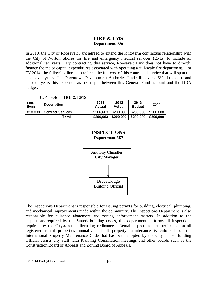## **FIRE & EMS Department 336**

In 2010, the City of Roosevelt Park agreed to extend the long-term contractual relationship with the City of Norton Shores for fire and emergency medical services (EMS) to include an additional ten years. By contracting this service, Roosevelt Park does not have to directly finance the major capital expenditures associated with operating a full-scale fire department. For FY 2014, the following line item reflects the full cost of this contracted service that will span the next seven years. The Downtown Development Authority Fund still covers 25% of the costs and in prior years this expense has been split between this General Fund account and the DDA budget.

| Line<br>items | <b>Description</b>       | 2011<br><b>Actual</b> | 2012<br><b>Actual</b> | 2013<br><b>Budget</b> | 2014      |
|---------------|--------------------------|-----------------------|-----------------------|-----------------------|-----------|
| 818,000       | <b>Contract Services</b> | \$206,663             | \$200,000             | \$200,000             | \$200,000 |
|               | Total                    | \$206,663             | \$200,000             | \$200,000             | \$200,000 |

#### **DEPT 336 – FIRE & EMS**

## **INSPECTIONS Department 387**



The Inspections Department is responsible for issuing permits for building, electrical, plumbing, and mechanical improvements made within the community. The Inspections Department is also responsible for nuisance abatement and zoning enforcement matters. In addition to the inspections required by the State to building codes, this department performs all inspections required by the City of rental licensing ordinance. Rental inspections are performed on all registered rental properties annually and all property maintenance is enforced per the International Property Maintenance Code that has been adopted by the City. The Building Official assists city staff with Planning Commission meetings and other boards such as the Construction Board of Appeals and Zoning Board of Appeals.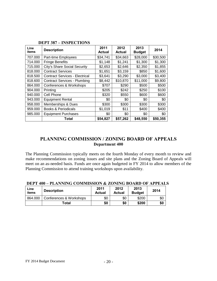| Line<br>items | <b>Description</b>                    | 2011<br><b>Actual</b> | 2012<br><b>Actual</b> | 2013<br><b>Budget</b> | 2014     |
|---------------|---------------------------------------|-----------------------|-----------------------|-----------------------|----------|
| 707.000       | Part-time Employees                   | \$34,741              | \$34,663              | \$28,000              | \$30,500 |
| 714.000       | <b>Fringe Benefits</b>                | \$1,148               | \$1,241               | \$1,300               | \$1,300  |
| 715.000       | City's Share Social Security          | \$2,653               | \$2,646               | \$2,350               | \$1,855  |
| 818.000       | <b>Contract Services</b>              | \$1,651               | \$3,159               | \$850                 | \$1,600  |
| 818.500       | <b>Contract Services - Electrical</b> | \$3,641               | \$3,290               | \$3,000               | \$3,400  |
| 818.600       | <b>Contract Services - Plumbing</b>   | \$8,442               | \$10,870              | \$11,000              | \$9,800  |
| 864.000       | Conferences & Workshops               | \$707                 | \$290                 | \$500                 | \$500    |
| 904.000       | Printing                              | \$205                 | \$242                 | \$250                 | \$100    |
| 940.000       | Cell Phone                            | \$320                 | \$550                 | \$600                 | \$600    |
| 943.000       | <b>Equipment Rental</b>               | \$0                   | \$0                   | \$0                   | \$0      |
| 958.000       | Memberships & Dues                    | \$300                 | \$300                 | \$300                 | \$300    |
| 959.000       | <b>Books &amp; Periodicals</b>        | \$1,019               | \$11                  | \$400                 | \$400    |
| 985.000       | <b>Equipment Purchases</b>            | \$0                   | \$0                   | \$0                   | \$0      |
|               | Total                                 | \$54,827              | \$57,262              | \$48,550              | \$50,355 |

#### **DEPT 387 – INSPECTIONS**

### **PLANNING COMMISSION / ZONING BOARD OF APPEALS Department 400**

The Planning Commission typically meets on the fourth Monday of every month to review and make recommendations on zoning issues and site plans and the Zoning Board of Appeals will meet on an as-needed basis. Funds are once again budgeted in FY 2014 to allow members of the Planning Commission to attend training workshops upon availability.

| Line<br>items | <b>Description</b>      | 2011<br><b>Actual</b> | 2012<br>Actual | 2013<br><b>Budget</b> | 2014 |
|---------------|-------------------------|-----------------------|----------------|-----------------------|------|
| 864.000       | Conferences & Workshops | \$0                   | \$0            | \$200                 | \$0  |
|               | Total                   | \$0                   | \$0            | \$200                 | \$0  |

#### **DEPT 400 – PLANNING COMMISSION & ZONING BOARD OF APPEALS**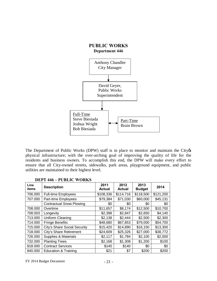

The Department of Public Works (DPW) staff is in place to monitor and maintain the City  $\&$ physical infrastructure; with the over-arching goal of improving the quality of life for the residents and business owners. To accomplish this end, the DPW will make every effort to ensure that all City-owned streets, sidewalks, park areas, playground equipment, and public utilities are maintained to their highest level.

| Line<br>items | <b>Description</b>              | 2011<br><b>Actual</b> | 2012<br><b>Actual</b> | 2013<br><b>Budget</b> | 2014      |
|---------------|---------------------------------|-----------------------|-----------------------|-----------------------|-----------|
| 706.000       | <b>Full-time Employees</b>      | \$108,336             | \$114,716             | \$118,500             | \$121,200 |
| 707.000       | Part-time Employees             | \$79,384              | \$71,030              | \$60,000              | \$45,131  |
|               | <b>Contractual Snow Plowing</b> | \$0                   | \$0                   | \$0                   | \$0       |
| 708.000       | Overtime                        | \$11,657              | \$8,174               | \$12,500              | \$10,700  |
| 708.003       | Longevity                       | \$2,398               | \$2,847               | \$2,650               | \$4,140   |
| 713.000       | Uniform Cleaning                | \$2,138               | \$2,444               | \$2,500               | \$2,300   |
| 714.000       | <b>Fringe Benefits</b>          | \$48,680              | \$67,853              | \$79,000              | \$54,700  |
| 715.000       | City's Share Social Security    | \$15,420              | \$14,890              | \$16,150              | \$13,300  |
| 718.000       | City's Share Retirement         | \$24,609              | \$25,326              | \$27,000              | \$38,772  |
| 726.000       | Supplies & Materials            | \$2,117               | \$1,784               | \$2,100               | \$2,000   |
| 732.000       | <b>Planting Trees</b>           | \$2,168               | \$1,308               | \$1,200               | \$100     |
| 818.000       | <b>Contract Services</b>        | \$140                 | \$140                 | \$0                   | \$0       |
| 840.000       | <b>Education &amp; Training</b> | \$21                  | \$7                   | \$200                 | \$200     |

#### **DEPT 446 – PUBLIC WORKS**

 $FY$  2014 Budget Document  $-21$  -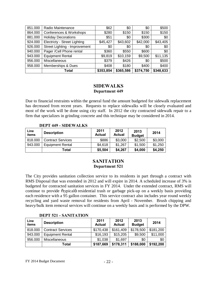| 851.000 | Radio Maintenance             | \$62      | \$0       | \$0       | \$500     |
|---------|-------------------------------|-----------|-----------|-----------|-----------|
| 864.000 | Conferences & Workshops       | \$280     | \$150     | \$150     | \$150     |
| 881.000 | <b>Holiday Decorations</b>    | \$51      | \$0       | \$300     | \$0       |
| 924.000 | Electricty - Street Lighting  | \$45,427  | \$43,602  | \$42,000  | \$43,405  |
| 926.000 | Street Lighting - Improvement | \$0       | \$0       | \$0       | \$0       |
| 940.000 | Pager /Cell Phone rental      | \$360     | \$550     | \$600     | \$0       |
| 943.000 | <b>Equipment Rental</b>       | \$9,819   | \$10,159  | \$9,500   | \$11,135  |
| 956.000 | Miscellaneous                 | \$379     | \$426     | \$0       | \$500     |
| 958.000 | Memberships & Dues            | \$408     | \$180     | \$400     | \$400     |
|         | Total                         | \$353,854 | \$365,586 | \$374,750 | \$348,633 |

#### **SIDEWALKS Department 449**

Due to financial restraints within the general fund the amount budgeted for sidewalk replacement has decreased from recent years. Requests to replace sidewalks will be closely evaluated and most of the work will be done using city staff. In 2012 the city contracted sidewalk repair to a firm that specializes in grinding concrete and this technique may be considered in 2014.

#### **DEPT 449 - SIDEWALKS**

| Line<br>items | <b>Description</b>       | 2011<br>Actual | 2012<br><b>Actual</b> | 2013<br><b>Budget</b> | 2014    |
|---------------|--------------------------|----------------|-----------------------|-----------------------|---------|
| 818.000       | <b>Contract Services</b> | \$886          | \$3,000               | \$2,500               | \$3,000 |
| 943.000       | <b>Equipment Rental</b>  | \$4,618        | \$1,267               | \$1,500               | \$1,250 |
|               | Total                    | \$5,504        | \$4,267               | \$4,000               | \$4,250 |

## **SANITATION Department 521**

The City provides sanitation collection service to its residents in part through a contract with RMS Disposal that was extended in 2012 and will expire in 2014. A scheduled increase of 3% is budgeted for contracted sanitation services in FY 2014. Under the extended contract, RMS will continue to provide õtypicalö residential trash or garbage pick-up on a weekly basis providing each residence with a 95 gallon container. This service contract also includes year round weekly recycling and yard waste removal for residents from April - November. Brush chipping and heavy/bulk item removal services will continue on a weekly basis and is performed by the DPW.

#### **Line items Description <sup>2011</sup> Actual 2012 Actual 2013 Budget <sup>2014</sup>** 818.000 | Contract Services | \$170,438 | \$161,409 | \$178,500 | \$181,200 943.000 | Equipment Rental | \$16,193 | \$15,205 | \$9,500 | \$11,000 956.000 | Miscellaneous | \$1,038 | \$1,697 | \$0 | \$0 **Total \$187,669 \$178,311 \$188,000 \$192,200**

#### **DEPT 521 - SANITATION**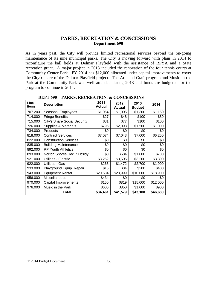#### **PARKS, RECREATION & CONCESSIONS Department 690**

As in years past, the City will provide limited recreational services beyond the on-going maintenance of its nine municipal parks. The City is moving forward with plans in 2014 to reconfigure the ball fields at Delmar Playfield with the assistance of RPYA and a State recreation grant. A major project in 2013 included the renovation of the four tennis courts at Community Center Park. FY 2014 has \$12,000 allocated under capital improvements to cover the City os share of the Delmar Playfield project. The Arts and Craft program and Music in the Park at the Community Park was well attended during 2013 and funds are budgeted for the program to continue in 2014.

| Line<br>items | <b>Description</b>           | 2011<br>Actual | 2012<br><b>Actual</b> | 2013<br><b>Budget</b> | 2014     |
|---------------|------------------------------|----------------|-----------------------|-----------------------|----------|
| 707.200       | Seasonal Employees           | \$1,064        | \$1,005               | \$1,300               | \$1,150  |
| 714.000       | <b>Fringe Benefits</b>       | \$27           | \$48                  | \$100                 | \$80     |
| 715.000       | City's Share Social Security | \$81           | \$77                  | \$100                 | \$100    |
| 726.000       | Supplies & Materials         | \$795          | \$2,093               | \$1,500               | \$1,000  |
| 734.000       | Products                     | \$0            | \$0                   | \$0                   | \$0      |
| 818.000       | <b>Contract Services</b>     | \$7,074        | \$7,043               | \$7,000               | \$6,250  |
| 822.000       | <b>Construction Services</b> | \$0            | \$0                   | \$0                   | \$0      |
| 835.000       | <b>Building Maintenance</b>  | \$9            | \$0                   | \$0                   | \$0      |
| 892.000       | <b>RP Youth Athletics</b>    | \$0            | \$0                   | \$0                   | \$0      |
| 893.000       | Norton Shores Rec. Subsidy   | \$0            | \$584                 | \$1,000               | \$700    |
| 921.000       | Utilities - Electric         | \$3,262        | \$3,505               | \$3,200               | \$3,300  |
| 922.000       | Utilities - Gas              | \$265          | \$1,472               | \$2,700               | \$1,900  |
| 933.000       | Playground Equip. Repair     | \$16           | \$84                  | \$200                 | \$400    |
| 943.000       | <b>Equipment Rental</b>      | \$20,684       | \$23,999              | \$10,000              | \$18,900 |
| 956.000       | Miscellaneous                | \$434          | \$0                   | \$0                   | \$0      |
| 970.000       | Capital Improvements         | \$150          | \$819                 | \$15,000              | \$12,000 |
| 976.000       | Music in the Park            | \$600          | \$850                 | \$1,000               | \$900    |
|               | Total                        | \$34,461       | \$41,579              | \$43,100              | \$46,680 |

#### **DEPT 690 – PARKS, RECREATION, & CONCESSIONS**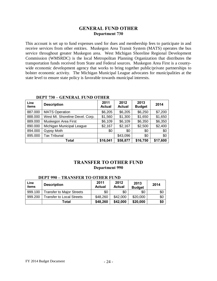#### **GENERAL FUND OTHER Department 730**

This account is set up to fund expenses used for dues and membership fees to participate in and receive services from other entities. Muskegon Area Transit System (MATS) operates the bus service throughout greater Muskegon area. West Michigan Shoreline Regional Development Commission (WMSRDC) is the local Metropolitan Planning Organization that distributes the transportation funds received from State and Federal sources. Muskegon Area First is a countywide economic development agency that works to bring together public/private partnerships to bolster economic activity. The Michigan Municipal League advocates for municipalities at the state level to ensure state policy is favorable towards municipal interests.

| Line<br>items | <b>Description</b>              | 2011<br><b>Actual</b> | 2012<br><b>Actual</b> | 2013<br><b>Budget</b> | 2014     |
|---------------|---------------------------------|-----------------------|-----------------------|-----------------------|----------|
| 887.000       | <b>MATS Operation</b>           | \$6,205               | \$6,205               | \$6,250               | \$7,200  |
| 888.000       | West MI. Shoreline Devel. Corp. | \$1,560               | \$1,300               | \$1,650               | \$1,650  |
| 889.000       | Muskegon Area First             | \$6,109               | \$6,109               | \$6,350               | \$6,350  |
| 890.000       | Michigan Municipal League       | \$2,167               | \$2,167               | \$2,500               | \$2,400  |
| 894.000       | Gypsy Moth                      | \$0                   | \$0                   | \$0                   | \$0      |
| 895.000       | <b>Tax Tribunal</b>             |                       | \$43,096              | \$0                   | \$0      |
|               | Total                           | \$16,041              | \$58,877              | \$16,750              | \$17,600 |

#### **DEPT 730 – GENERAL FUND OTHER**

#### **TRANSFER TO OTHER FUND Department 990**

| Line<br>items | <b>Description</b>               | 2011<br><b>Actual</b> | 2012<br><b>Actual</b> | 2013<br><b>Budget</b> | 2014 |
|---------------|----------------------------------|-----------------------|-----------------------|-----------------------|------|
| 999.100       | <b>Transfer to Major Streets</b> | \$0                   | \$0                   | \$0                   | \$0  |
| 999.200       | <b>Fransfer to Local Streets</b> | \$48,260              | \$42,000              | \$20,000              | \$0  |
|               | Total                            | \$48,260              | \$42,000              | \$20,000              | \$0  |

#### **DEPT 990 – TRANSFER TO OTHER FUND**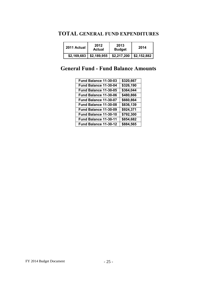## **TOTAL GENERAL FUND EXPENDITURES**

| 2011 Actual | 2012<br>Actual | 2013<br><b>Budget</b> | 2014        |
|-------------|----------------|-----------------------|-------------|
| \$2,169,683 | \$2,189,955    | \$2,217,200           | \$2,152,882 |

## **General Fund - Fund Balance Amounts**

| Fund Balance 11-30-03 | \$320,667             |
|-----------------------|-----------------------|
| Fund Balance 11-30-04 | \$326,190             |
| Fund Balance 11-30-05 | \$364,044             |
| Fund Balance 11-30-06 | \$480,866             |
| Fund Balance 11-30-07 | \$660,864             |
| Fund Balance 11-30-08 | \$836,139             |
| Fund Balance 11-30-09 | \$924,371             |
| Fund Balance 11-30-10 | \$792,300             |
| Fund Balance 11-30-11 | \$854,682             |
| Fund Balance 11-30-12 | $\overline{$884,565}$ |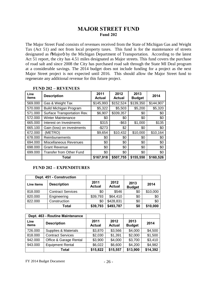## **MAJOR STREET FUND Fund 202**

The Major Street Fund consists of revenues received from the State of Michigan Gas and Weight Tax (Act 51) and not from local property taxes. This fund is for the maintenance of streets designated as  $\tilde{\text{o}}$ Major $\ddot{\text{o}}$  by the Michigan Department of Transportation. According to the latest Act 51 report, the city has 4.51 miles designated as Major streets. This fund covers the purchase of road salt and since 2008 the City has purchased road salt through the State MI Deal program at a considerable savings. The 2014 budget does not include funding for a project as the next Major Street project is not expected until 2016. This should allow the Major Street fund to regenerate any additional revenue for this future project.

| Line<br>items | <b>Description</b>              | 2011<br><b>Actual</b> | 2012<br><b>Actual</b> | 2013<br><b>Budget</b> | 2014      |
|---------------|---------------------------------|-----------------------|-----------------------|-----------------------|-----------|
| 569.000       | Gas & Weight Tax                | \$145,993             | \$152,524             | \$139,350             | \$144,907 |
| 570.000       | <b>Build Michigan Program</b>   | \$5,322               | \$5,503               | \$5,200               | \$5,320   |
| 571.000       | Surface Transportation Rev.     | \$6,907               | \$339,357             | \$0                   | \$0       |
| 572.000       | <b>Winter Maintenance</b>       | \$0                   | \$0                   | \$0                   | \$0       |
| 665.000       | Interest on Investments         | \$315                 | $-$ \$63              | \$1,000               | \$135     |
| 665.100       | Gain (loss) on investments      | $-$273$               | \$2                   | \$0                   | \$0       |
| 672.000       | (METRO)                         | \$9,654               | \$10,432              | \$10,000              | \$10,164  |
| 678.000       | Reimbursements                  | \$0                   | \$0                   | \$0                   | \$0       |
| 694.000       | Miscellaneous Revenues          | \$0                   | \$0                   | \$0                   | \$0       |
| 698.000       | <b>Grant Revenue</b>            | \$0                   | \$0                   | \$0                   | \$0       |
| 699.000       | <b>Transfer from Other Fund</b> | \$0                   | \$0                   | \$0                   | \$0       |
|               | Total                           | \$167,918             | \$507,755             | \$155,550             | \$160,526 |

#### **FUND 202 – REVENUES**

#### **FUND 202 – EXPENDITURES**

|            | Dept. 451 - Construction |                       |                       |                       |          |
|------------|--------------------------|-----------------------|-----------------------|-----------------------|----------|
| Line items | <b>Description</b>       | 2011<br><b>Actual</b> | 2012<br><b>Actual</b> | 2013<br><b>Budget</b> | 2014     |
| 818.000    | <b>Contract Services</b> | \$0                   | \$546                 | \$0                   | \$10,000 |
| 820.000    | Engineering              | \$39,793              | \$64,410              | \$0                   | \$0      |
| 822.000    | Construction             | \$0                   | \$428,831             | \$0                   | \$0      |
|            | Total                    | \$39,793              | \$493,787             | \$0                   | \$10,000 |

|               | Dept. 463 - Routine Maintenance |                       |                       |                       |          |
|---------------|---------------------------------|-----------------------|-----------------------|-----------------------|----------|
| Line<br>items | <b>Description</b>              | 2011<br><b>Actual</b> | 2012<br><b>Actual</b> | 2013<br><b>Budget</b> | 2014     |
| 726.000       | Supplies & Materials            | \$3,870               | \$3,566               | \$4,000               | \$4,500  |
| 818.000       | <b>Contract Services</b>        | \$2,030               | \$1,391               | \$2,000               | \$1,500  |
| 942.000       | Office & Garage Rental          | \$3,900               | \$4,000               | \$3,700               | \$3,410  |
| 943.000       | <b>Equipment Rental</b>         | \$6,022               | \$6,600               | \$4,200               | \$4,982  |
|               | Total                           | \$15,822              | \$15,557              | \$13,900              | \$14,392 |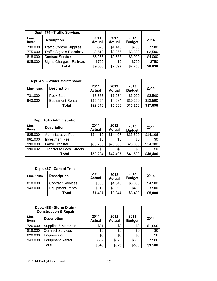|               | Dept. 474 - Traffic Services       |                       |                       |                       |         |
|---------------|------------------------------------|-----------------------|-----------------------|-----------------------|---------|
| Line<br>items | <b>Description</b>                 | 2011<br><b>Actual</b> | 2012<br><b>Actual</b> | 2013<br><b>Budget</b> | 2014    |
| 730.000       | <b>Traffic Control Supplies</b>    | \$528                 | \$1,145               | \$700                 | \$580   |
| 775.000       | <b>Traffic Signals-Electricity</b> | \$2,519               | \$3,366               | \$3,300               | \$3,500 |
| 818.000       | <b>Contract Services</b>           | \$5,256               | \$2,588               | \$3,000               | \$4,000 |
| 925.000       | Signal Charges - Railroad          | \$760                 | \$0                   | \$750                 | \$750   |
|               | Total                              | \$9,063               | \$7,099               | \$7,750               | \$8,830 |

|            | Dept. 478 - Winter Maintenance |                       |                       |                       |          |
|------------|--------------------------------|-----------------------|-----------------------|-----------------------|----------|
| Line items | <b>Description</b>             | 2011<br><b>Actual</b> | 2012<br><b>Actual</b> | 2013<br><b>Budget</b> | 2014     |
| 731.000    | <b>Rock Salt</b>               | \$6,586               | \$1,954               | \$3,000               | \$3,500  |
| 943.000    | <b>Equipment Rental</b>        | \$15,454              | \$4,684               | \$10,250              | \$13,590 |
|            | Total                          | \$22,040              | \$6,638               | \$13,250              | \$17,090 |

|               | Dept. 484 - Administration       |                       |                       |                       |          |
|---------------|----------------------------------|-----------------------|-----------------------|-----------------------|----------|
| Line<br>items | <b>Description</b>               | 2011<br><b>Actual</b> | 2012<br><b>Actual</b> | 2013<br><b>Budget</b> | 2014     |
| 825.000       | <b>Administrative Fee</b>        | \$14,419              | \$14,407              | \$13,800              | \$14,106 |
| 961.000       | <b>Investment Fee</b>            | \$0                   | \$0                   | \$0                   | \$0      |
| 990.000       | Labor Transfer                   | \$35,785              | \$28,000              | \$28,000              | \$34,380 |
| 990.002       | <b>Transfer to Local Streets</b> | \$0                   | \$0                   | \$0                   | \$0      |
|               | Total                            | \$50,204              | \$42,407              | \$41,800              | \$48,486 |

|            | Dept. 487 - Care of Trees |                       |                       |                       |         |
|------------|---------------------------|-----------------------|-----------------------|-----------------------|---------|
| Line items | <b>Description</b>        | 2011<br><b>Actual</b> | 2012<br><b>Actual</b> | 2013<br><b>Budget</b> | 2014    |
| 818,000    | <b>Contract Services</b>  | \$585                 | \$4,848               | \$3,000               | \$4,500 |
| 943.000    | <b>Equipment Rental</b>   | \$912                 | \$5,096               | \$400                 | \$500   |
|            | Total                     | \$1,497               | \$9,944               | \$3,400               | \$5,000 |

|               | Dept. 488 - Storm Drain -<br><b>Construction &amp; Repair</b> |                       |                       |                       |         |
|---------------|---------------------------------------------------------------|-----------------------|-----------------------|-----------------------|---------|
| Line<br>items | <b>Description</b>                                            | 2011<br><b>Actual</b> | 2012<br><b>Actual</b> | 2013<br><b>Budget</b> | 2014    |
| 726.000       | Supplies & Materials                                          | \$81                  | \$0                   | \$0                   | \$1,000 |
| 818.000       | <b>Contract Services</b>                                      | \$0                   | \$0                   | \$0                   | \$0     |
| 820.000       | Engineering                                                   | \$0                   | \$0                   | \$0                   | \$0     |
| 943.000       | <b>Equipment Rental</b>                                       | \$559                 | \$625                 | \$500                 | \$500   |
|               | <b>Total</b>                                                  | \$640                 | \$625                 | \$500                 | \$1,500 |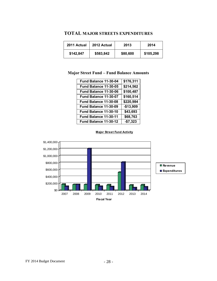#### **TOTAL MAJOR STREETS EXPENDITURES**

| 2011 Actual | 2012 Actual | 2013     | 2014      |
|-------------|-------------|----------|-----------|
| \$142,847   | \$583,842   | \$80,600 | \$105,298 |

## **Major Street Fund – Fund Balance Amounts**

| \$176,311  |
|------------|
| \$214,562  |
| \$100,487  |
| \$160,514  |
| \$220,984  |
| $-$13,909$ |
| \$43,693   |
| \$68,763   |
| $-$7,323$  |
|            |



#### **Major Street Fund Activity**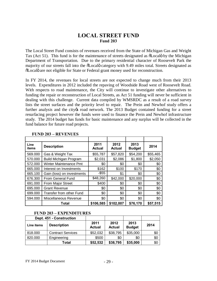## **LOCAL STREET FUND Fund 203**

The Local Street Fund consists of revenues received from the State of Michigan Gas and Weight Tax (Act 51). This fund is for the maintenance of streets designated as  $\tilde{\text{o}}$ Local by the Michigan Department of Transportation. Due to the primary residential character of Roosevelt Park the majority of our streets fall into the  $\delta$ Localo category with 9.49 miles total. Streets designated as  $\delta$ Localo are not eligible for State or Federal grant money used for reconstruction.

In FY 2014, the revenues for local streets are not expected to change much from their 2013 levels. Expenditures in 2012 included the repaving of Woodside Road west of Roosevelt Road. With respects to road maintenance, the City will continue to investigate other alternatives to funding the repair or reconstruction of Local Streets, as Act 51 funding will never be sufficient in dealing with this challenge. Current data compiled by WMSRDC as a result of a road survey lists the street surfaces and the priority level to repair. The Prein and Newhof study offers a further analysis and the city to road network. The 2013 Budget contained funding for a street resurfacing project however the funds were used to finance the Prein and Newhof infrastructure study. The 2014 budget has funds for basic maintenance and any surplus will be collected in the fund balance for future road projects.

| Line<br>items | <b>Description</b>            | 2011<br><b>Actual</b> | 2012<br><b>Actual</b> | 2013<br><b>Budget</b> | 2014     |
|---------------|-------------------------------|-----------------------|-----------------------|-----------------------|----------|
| 569.000       | Gas & Weight Tax              | \$55,787              | \$57,820              | \$54,200              | \$55,465 |
| 570.000       | <b>Build Michigan Program</b> | \$2,031               | \$2,086               | \$1,800               | \$2,050  |
| 572.000       | Winter Maintenance Pmt        | \$0                   | \$0                   | \$0                   | \$0      |
| 665.000       | Interest on Investments       | \$162                 | \$100                 | \$170                 | \$0      |
| 665.100       | Gain (loss) on investments    | $-$ \$55              | \$1                   | \$0                   | \$0      |
| 676.300       | From General Fund             | \$48,260              | \$42,000              | \$20,000              | \$0      |
| 691.000       | From Major Street             | \$400                 | \$0                   | \$0                   | \$0      |
| 695.000       | <b>Grant Revenue</b>          | \$0                   | \$0                   | \$0                   | \$0      |
| 699.000       | Transfer from other Fund      | \$0                   | \$0                   | \$0                   | \$0      |
| 594.000       | Miscellaneous Revenue         | \$0                   | \$0                   | \$0                   | \$0      |
|               | Total                         | \$106,585             | \$102,007             | \$76,170              | \$57,515 |

#### **FUND 203 – REVENUES**

#### **FUND 203 – EXPENDITURES**

|            | Dept. 451 - Construction |                       |                       |                       |      |
|------------|--------------------------|-----------------------|-----------------------|-----------------------|------|
| Line items | <b>Description</b>       | 2011<br><b>Actual</b> | 2012<br><b>Actual</b> | 2013<br><b>Budget</b> | 2014 |
| 818.000    | <b>Contract Services</b> | \$52,032              | \$38,795              | \$35,000              | \$0  |
| 820.000    | Engineering              | \$500                 | \$0                   | \$0                   | \$0  |
|            | Total                    | \$52,532              | \$38,795              | \$35,000              | \$0  |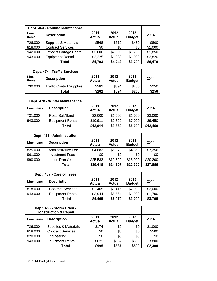|               | Dept. 463 - Routine Maintenance |                       |                       |                       |         |
|---------------|---------------------------------|-----------------------|-----------------------|-----------------------|---------|
| Line<br>items | <b>Description</b>              | 2011<br><b>Actual</b> | 2012<br><b>Actual</b> | 2013<br><b>Budget</b> | 2014    |
| 726.000       | Supplies & Materials            | \$568                 | \$310                 | \$450                 | \$800   |
| 818.000       | <b>Contract Services</b>        | \$0                   | \$0                   | \$0                   | \$1,000 |
| 942.000       | Office & Garage Rental          | \$2,000               | \$2,000               | \$1,750               | \$1,850 |
| 943.000       | <b>Equipment Rental</b>         | \$2,225               | \$1,932               | \$1,000               | \$2,820 |
|               | Total                           | \$4,793               | \$4,242               | \$3,200               | \$6,470 |

|               | Dept. 474 - Traffic Services    |                       |                       |                       |       |
|---------------|---------------------------------|-----------------------|-----------------------|-----------------------|-------|
| Line<br>items | <b>Description</b>              | 2011<br><b>Actual</b> | 2012<br><b>Actual</b> | 2013<br><b>Budget</b> | 2014  |
| 730.000       | <b>Traffic Control Supplies</b> | \$282                 | \$394                 | \$250                 | \$250 |
|               | Total                           | \$282                 | \$394                 | \$250                 | \$250 |

|            | Dept. 478 - Winter Maintenance |                       |                       |                       |          |
|------------|--------------------------------|-----------------------|-----------------------|-----------------------|----------|
| Line items | <b>Description</b>             | 2011<br><b>Actual</b> | 2012<br><b>Actual</b> | 2013<br><b>Budget</b> | 2014     |
| 731.000    | Road Salt/Sand                 | \$2,000               | \$1,000               | \$1,000               | \$3,000  |
| 943.000    | <b>Equipment Rental</b>        | \$10,911              | \$2,869               | \$7,000               | \$9,450  |
|            | Total                          | \$12,911              | \$3,869               | \$8,000               | \$12,450 |

|            | Dept. 484 - Administration |                       |                       |                       |          |
|------------|----------------------------|-----------------------|-----------------------|-----------------------|----------|
| Line items | <b>Description</b>         | 2011<br><b>Actual</b> | 2012<br><b>Actual</b> | 2013<br><b>Budget</b> | 2014     |
| 825.000    | Administrative Fee         | \$4,882               | \$5,078               | \$4,350               | \$7,356  |
| 961.000    | <b>Investment Fees</b>     | \$0                   | \$0                   | \$0                   | \$0      |
| 990.000    | Labor Transfer             | \$25,533              | \$19,629              | \$18,000              | \$20,200 |
|            | <b>Total</b>               | \$30,415              | \$24,707              | \$22,350              | \$27,556 |

|            | Dept. 487 - Care of Trees |                       |                       |                       |         |
|------------|---------------------------|-----------------------|-----------------------|-----------------------|---------|
| Line items | <b>Description</b>        | 2011<br><b>Actual</b> | 2012<br><b>Actual</b> | 2013<br><b>Budget</b> | 2014    |
| 818.000    | <b>Contract Services</b>  | \$1,465               | \$1,415               | \$2,000               | \$2,000 |
| 943.000    | <b>Equipment Rental</b>   | \$2,944               | \$5,564               | \$1,000               | \$1,700 |
|            | Total                     | \$4,409               | \$6,979               | \$3,000               | \$3,700 |

|            | Dept. 488 - Storm Drain -<br><b>Construction &amp; Repair</b> |                       |                       |                       |         |
|------------|---------------------------------------------------------------|-----------------------|-----------------------|-----------------------|---------|
| Line items | <b>Description</b>                                            | 2011<br><b>Actual</b> | 2012<br><b>Actual</b> | 2013<br><b>Budget</b> | 2014    |
| 726.000    | Supplies & Materials                                          | \$174                 | \$0                   | \$0                   | \$1,000 |
| 818.000    | <b>Contract Services</b>                                      | \$0                   | \$0                   | \$0                   | \$500   |
| 820.000    | Engineering                                                   | \$0                   | \$0                   | \$0                   | \$0     |
| 943.000    | <b>Equipment Rental</b>                                       | \$821                 | \$837                 | \$800                 | \$800   |
|            | <b>Total</b>                                                  | \$995                 | \$837                 | \$800                 | \$2,300 |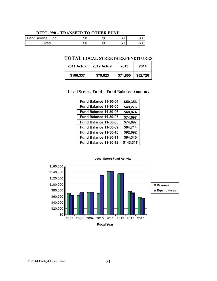#### **DEPT. 990 – TRANSFER TO OTHER FUND**

| Debt Service Fund | ሖ<br>JО  | ሖ<br>JО  | \$0 | JJ U     |
|-------------------|----------|----------|-----|----------|
| ⊺ota⊧             | ሱስ<br>ΦU | ሱስ<br>ΦU | \$0 | m.<br>υU |

## **TOTAL LOCAL STREETS EXPENDITURES**

| 2011 Actual | 2012 Actual | 2013     | 2014     |
|-------------|-------------|----------|----------|
| \$106,337   | \$79,823    | \$71,800 | \$52,726 |

#### **Local Streets Fund – Fund Balance Amounts**

| Fund Balance 11-30-04 | \$50,356  |
|-----------------------|-----------|
| Fund Balance 11-30-05 | \$49,276  |
| Fund Balance 11-30-06 | \$68,874  |
| Fund Balance 11-30-07 | \$74,697  |
| Fund Balance 11-30-08 | \$74,697  |
| Fund Balance 11-30-09 | \$84,714  |
| Fund Balance 11-30-10 | \$92,092  |
| Fund Balance 11-30-11 | \$94,340  |
| Fund Balance 11-30-12 | \$143,317 |



#### **Local Street Fund Activity**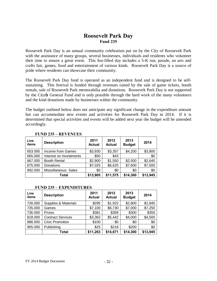## **Roosevelt Park Day Fund 235**

Roosevelt Park Day is an annual community celebration put on by the City of Roosevelt Park with the assistance of many groups, several businesses, individuals and residents who volunteer their time to ensure a great event. This fun-filled day includes a 5-K run, parade, an arts and crafts fair, games, food and entertainment of various kinds. Roosevelt Park Day is a source of pride where residents can showcase their community.

The Roosevelt Park Day fund is operated as an independent fund and is designed to be selfsustaining. This festival is funded through revenues raised by the sale of game tickets, booth rentals, sale of Roosevelt Park memorabilia and donations. Roosevelt Park Day is not supported by the City & General Fund and is only possible through the hard work of the many volunteers and the kind donations made by businesses within the community.

The budget outlined below does not anticipate any significant change in the expenditure amount but can accommodate new events and activities for Roosevelt Park Day in 2014. If it is determined that special activities and events will be added next year the budget will be amended accordingly.

| Line<br>items | <b>Description</b>      | 2011<br><b>Actual</b> | 2012<br><b>Actual</b> | 2013<br><b>Budget</b> | 2014     |
|---------------|-------------------------|-----------------------|-----------------------|-----------------------|----------|
| 653.000       | Income from Games       | \$3,930               | \$3,357               | \$4,200               | \$3,800  |
| 665.000       | Interest on Investments | \$50                  | \$43                  |                       | \$0      |
| 667.000       | <b>Booth Rental</b>     | \$2,900               | \$1,550               | \$2,500               | \$2,645  |
| 675.000       | Donations               | \$7,025               | \$6,625               | \$7,600               | \$7,500  |
| 692.000       | Miscellaneous Sales     | \$0                   | \$0                   | \$0                   | \$0      |
|               | <b>Total</b>            | \$13,905              | \$11,575              | \$14,300              | \$13,945 |

#### **FUND 235 – REVENUES**

#### **FUND 235 – EXPENDITURES**

| Line<br>items | <b>Description</b>              | 2011<br><b>Actual</b> | 2012<br><b>Actual</b> | 2013<br><b>Budget</b> | 2014     |
|---------------|---------------------------------|-----------------------|-----------------------|-----------------------|----------|
| 726.000       | <b>Supplies &amp; Materials</b> | \$295                 | \$1,922               | \$2,800               | \$1,845  |
| 735.000       | Games                           | \$7,100               | \$6,730               | \$7,000               | \$7,250  |
| 736.000       | Prizes                          | \$381                 | \$359                 | \$300                 | \$350    |
| 818.000       | <b>Contract Services</b>        | \$3,362               | \$5,442               | \$4,000               | \$4,500  |
| 886.000       | <b>Civic Promotion</b>          | \$100                 | \$0                   | \$0                   | \$0      |
| 905.000       | Publishing                      | \$25                  | \$218                 | \$200                 | \$0      |
|               | Total                           | \$11,263              | \$14,671              | \$14,300              | \$13,945 |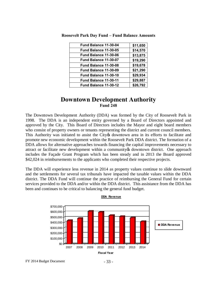| \$11,650 |
|----------|
| \$14,570 |
| \$13,875 |
| \$19,290 |
| \$19,678 |
| \$21,290 |
| \$29,934 |
| \$29,887 |
| \$26,792 |
|          |
|          |

**Roosevelt Park Day Fund – Fund Balance Amounts**

## **Downtown Development Authority Fund 248**

The Downtown Development Authority (DDA) was formed by the City of Roosevelt Park in 1998. The DDA is an independent entity governed by a Board of Directors appointed and approved by the City. This Board of Directors includes the Mayor and eight board members who consist of property owners or tenants representing the district and current council members. This Authority was initiated to assist the City of downtown area in its efforts to facilitate and promote new economic development within the Roosevelt Park DDA district. The formation of a DDA allows for alternative approaches towards financing the capital improvements necessary to attract or facilitate new development within a community to downtown district. One approach includes the Façade Grant Program which has been steady and in 2013 the Board approved \$42,024 in reimbursements to the applicants who completed their respective projects.

The DDA will experience less revenue in 2014 as property values continue to slide downward and the settlements for several tax tribunals have impacted the taxable values within the DDA district. The DDA Fund will continue the practice of reimbursing the General Fund for certain services provided to the DDA and/or within the DDA district. This assistance from the DDA has been and continues to be critical to balancing the general fund budget.



#### **DDA Revenue**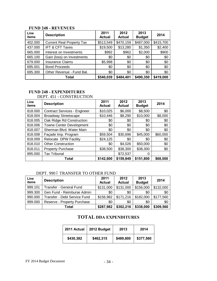#### **FUND 248 - REVENUES**

| Line<br>items | <b>Description</b>               | 2011<br><b>Actual</b> | 2012<br><b>Actual</b> | 2013<br><b>Budget</b> | 2014      |
|---------------|----------------------------------|-----------------------|-----------------------|-----------------------|-----------|
| 402.000       | <b>Current Real Property Tax</b> | \$513,549             | \$470,159             | \$487,000             | \$415,700 |
| 437.000       | <b>IFT &amp; CFT Taxes</b>       | \$19,500              | \$13,280              | \$1,350               | \$2,400   |
| 665.000       | Interest on Investments          | \$992                 | \$962                 | \$2,000               | \$900     |
| 665.100       | Gain (loss) on Investments       | \$0                   | \$0                   | \$0                   | \$0       |
| 679.000       | <b>Insurance Claims</b>          | \$5,998               | \$0                   | \$0                   | \$0       |
| 695.001       | <b>Bond Proceeds</b>             | \$0                   | \$0                   | \$0                   | \$0       |
| 695.300       | Other Revenue - Fund Bal.        | \$0                   | \$0                   | \$0                   | \$0       |
|               | Total                            | \$540,039             | \$484,401             | \$490,350             | \$419,000 |

## **FUND 248 - EXPENDITURES**

## DEPT. 451 - CONSTRUCTION

| Line<br>items | <b>Description</b>                  | 2011<br><b>Actual</b> | 2012<br><b>Actual</b> | 2013<br><b>Budget</b> | 2014     |
|---------------|-------------------------------------|-----------------------|-----------------------|-----------------------|----------|
| 818.000       | <b>Contract Services - Engineer</b> | \$10,025              | \$6,000               | \$8,500               | \$0      |
| 818.004       | <b>Broadway Streetscape</b>         | \$10,446              | \$8,290               | \$10,000              | \$8,000  |
| 818.005       | Oak Ridge Rd Construction           | \$0                   | \$0                   | \$0                   | \$0      |
| 818.006       | <b>Towne Center Development</b>     | \$0                   | \$0                   | \$0                   | \$0      |
| 818.007       | Sherman Blvd. Water Main            | \$0                   | \$0                   | \$0                   | \$0      |
| 818.008       | Façade Imp. Program                 | \$59,504              | \$30,696              | \$45,000              | \$60,000 |
| 818.009       | Relocate DPW Facility               | \$24,125              | \$0                   | \$0                   | \$0      |
| 818.010       | <b>Other Construction</b>           | \$0                   | \$4,026               | \$50,000              | \$0      |
| 818.011       | <b>Property Purchase</b>            | \$38,500              | \$38,300              | \$38,300              | \$0      |
| 895.000       | <b>Tax Tribunal</b>                 |                       | \$72,537              | 0                     |          |
|               | <b>Total</b>                        | \$142,600             | \$159,849             | \$151,800             | \$68,000 |

#### DEPT. 990 6 TRANSFER TO OTHER FUND

| Line<br>items | <b>Description</b>           | 2011<br><b>Actual</b> | 2012<br><b>Actual</b> | 2013<br><b>Budget</b> | 2014      |
|---------------|------------------------------|-----------------------|-----------------------|-----------------------|-----------|
| 999.101       | Transfer - General Fund      | \$131,000             | \$131,000             | \$156,000             | \$132,000 |
| 999.300       | Gen Fund - Reimburse Admin   | \$0                   | \$0                   | \$0                   | \$0       |
| 990.000       | Transfer - Debt Service Fund | \$156,982             | \$171,216             | \$182,000             | \$177,560 |
| 999.000       | Reserve - Property Purchase  | \$0                   | \$0                   | \$0                   | \$0       |
|               | Total                        | \$287,982             | \$302,216             | \$338,000             | \$309,560 |

## **TOTAL DDA EXPENDITURES**

| 2011 Actual | 2012 Budget | 2013      | 2014      |
|-------------|-------------|-----------|-----------|
| \$430,382   | \$462,315   | \$489,800 | \$377,560 |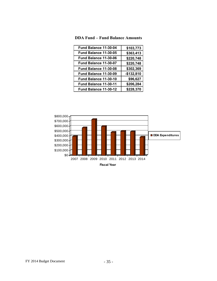| <b>DDA Fund – Fund Balance Amounts</b> |
|----------------------------------------|
|                                        |

| Fund Balance 11-30-04 | \$103,773   |
|-----------------------|-------------|
| Fund Balance 11-30-05 | \$363,413   |
| Fund Balance 11-30-06 | \$220,748   |
| Fund Balance 11-30-07 | \$220,748   |
| Fund Balance 11-30-08 | \$302,369   |
| Fund Balance 11-30-09 | $-$132,810$ |
| Fund Balance 11-30-10 | \$96,627    |
| Fund Balance 11-30-11 | \$206,284   |
| Fund Balance 11-30-12 | \$228,370   |

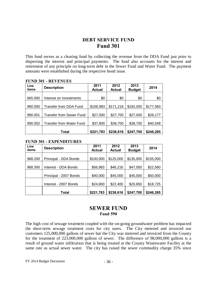## **DEBT SERVICE FUND Fund 301**

This fund serves as a clearing fund by collecting the revenue from the DDA Fund just prior to dispersing the interest and principal payments. The fund also accounts for the interest and retirement of any principle on long-term debt in the Sewer Fund and Water Fund.The payment amounts were established during the respective bond issue.

| Line<br>items | <b>Description</b>              | 2011<br><b>Actual</b> | 2012<br><b>Actual</b> | 2013<br><b>Budget</b> | 2014      |
|---------------|---------------------------------|-----------------------|-----------------------|-----------------------|-----------|
| 665,000       | Interest on Investments         | \$0                   | \$0                   | \$0                   | \$0       |
| 990.000       | Transfer from DDA Fund          | \$156,983             | \$171,216             | \$182,000             | \$177,560 |
| 990.001       | <b>Transfer from Sewer Fund</b> | \$27,000              | \$27,700              | \$27,000              | \$28,177  |
| 990.002       | Transfer from Water Fund        | \$37,800              | \$39,700              | \$38,700              | \$40,548  |
|               | Total                           | \$221,783             | \$238,616             | \$247,700             | \$246,285 |

#### **FUND 301 - REVENUES**

#### **FUND 301 - EXPENDITURES**

| Line<br>items | <b>Description</b>     | 2011<br>Actual | 2012<br><b>Actual</b> | 2013<br><b>Budget</b> | 2014      |
|---------------|------------------------|----------------|-----------------------|-----------------------|-----------|
| 968.200       | Principal - DDA Bonds  | \$100,000      | \$125,000             | \$135,000             | \$155,000 |
| 968.300       | Interest - DDA Bonds   | \$56,983       | \$46,216              | \$47,050              | \$22,560  |
|               | Principal - 2007 Bonds | \$40,000       | \$45,000              | \$45,000              | \$50,000  |
|               | Interest - 2007 Bonds  | \$24,800       | \$22,400              | \$20,650              | \$18,725  |
|               | Total                  | \$221,783      | \$238,616             | \$247,700             | \$246,285 |

## **SEWER FUND Fund 590**

The high cost of sewage treatment coupled with the on-going groundwater problem has impacted the short-term sewage treatment costs for city users. The City metered and invoiced our customers 125,000,000 gallons of sewer but the City was metered and invoiced from the County for the treatment of 223,000,000 gallons of sewer. The difference of 98,000,000 gallons is a result of ground water infiltration that is being treated at the County Wastewater Facility at the same rate as actual sewer water. The city has raised the sewer commodity charge 35% since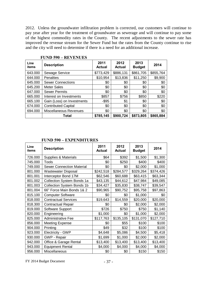2012. Unless the groundwater infiltration problem is corrected, our customers will continue to pay year after year for the treatment of groundwater as sewerage and will continue to pay some of the highest commodity rates in the County. The recent adjustments to the sewer rate has improved the revenue stream for the Sewer Fund but the rates from the County continue to rise and the city will need to determine if there is a need for an additional increase.

| Line<br>items | <b>Description</b>         | 2011<br><b>Actual</b> | 2012<br><b>Actual</b> | 2013<br><b>Budget</b> | 2014      |
|---------------|----------------------------|-----------------------|-----------------------|-----------------------|-----------|
| 643.000       | Sewage Service             | \$773,429             | \$886,131             | \$861,705             | \$855,764 |
| 644.000       | <b>Penalties</b>           | \$10,954              | \$13,836              | \$11,250              | \$9,900   |
| 645.000       | <b>Sewer Connections</b>   | \$0                   | \$0                   | \$0                   | \$0       |
| 645.200       | Meter Sales                | \$0                   | \$0                   | \$0                   | \$0       |
| 647.000       | <b>Sewer Permits</b>       | \$0                   | \$0                   | \$0                   | \$0       |
| 665.000       | Interest on Investments    | \$857                 | \$756                 | \$850                 | \$220     |
| 665.100       | Gain (Loss) on Investments | $-$ \$95              | \$1                   | \$0                   | \$0       |
| 674.000       | <b>Contributed Capital</b> | \$0                   | \$0                   | \$0                   | \$0       |
| 694.000       | Miscellaneous Revenues     | \$0                   | \$0                   | \$0                   | \$0       |
|               | Total                      | \$785,145             | \$900,724             | \$873,805             | \$865,884 |

#### **FUND 590 – REVENUES**

|  |  | <b>FUND 590 – EXPENDITURES</b> |
|--|--|--------------------------------|
|--|--|--------------------------------|

| Line<br>items | <b>Description</b>                | 2011<br><b>Actual</b> | 2012<br><b>Actual</b> | 2013<br><b>Budget</b> | 2014      |
|---------------|-----------------------------------|-----------------------|-----------------------|-----------------------|-----------|
| 726.000       | Supplies & Materials              | \$64                  | \$392                 | \$1,500               | \$1,300   |
| 745.000       | <b>Tools</b>                      | \$0                   | \$250                 | \$400                 | \$400     |
| 749.000       | <b>Sewer Connection Material</b>  | \$0                   | \$0                   | \$2,000               | \$1,000   |
| 801.000       | <b>Wastewater Disposal</b>        | \$242,518             | \$284,577             | \$329,264             | \$374,426 |
| 801.001       | Interceptor Bond 17M              | \$62,546              | \$60,688              | \$63,415              | \$63,344  |
| 801.002       | Collection System Bonds 1a        | \$43,135              | \$44,612              | \$47,984              | \$49,085  |
| 801.003       | <b>Collection System Bonds 1b</b> | \$34,427              | \$35,830              | \$38,747              | \$39,547  |
| 801.004       | 66" Force Main Bonds 1& 2         | \$90,965              | \$90,752              | \$95,758              | \$97,863  |
| 815.100       | <b>Computer Software</b>          | \$0                   | \$0                   | \$1,000               | \$0       |
| 818.000       | <b>Contractual Services</b>       | \$19,643              | \$14,559              | \$20,000              | \$20,000  |
| 818.300       | <b>Contractual Repair</b>         | \$0                   | \$0                   | \$2,000               | \$2,000   |
| 819.000       | Software Support                  | \$726                 | \$750                 | \$750                 | \$1,140   |
| 820.000       | Engineering                       | \$1,000               | \$0                   | \$1,000               | \$2,000   |
| 825.000       | Administrative Fee                | \$117,763             | \$135,105             | \$131,070             | \$127,710 |
| 856.000       | <b>Meeting Expense</b>            | \$0                   | \$55                  | \$100                 | \$100     |
| 904.000       | Printing                          | \$49                  | \$32                  | \$100                 | \$100     |
| 923.000       | <b>Electricity - GWP</b>          | \$4,648               | \$5,086               | \$4,500               | \$5,418   |
| 930.000       | GWP - Repair                      | \$1,699               | \$1,000               | \$2,000               | \$2,000   |
| 942.000       | Office & Garage Rental            | \$13,400              | \$13,400              | \$13,400              | \$13,400  |
| 943.000       | <b>Equipment Rental</b>           | \$4,000               | \$4,000               | \$4,000               | \$4,000   |
| 956.000       | Miscellaneous                     | \$0                   | \$0                   | \$150                 | \$150     |

FY 2014 Budget Document - 37 -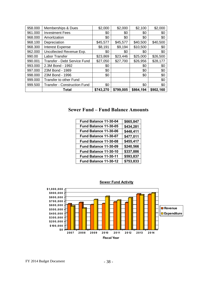|         | <b>Total</b>                        | \$743,270 | \$799,005 | \$864,194 | \$902,160 |
|---------|-------------------------------------|-----------|-----------|-----------|-----------|
| 999.500 | <b>Transfer - Construction Fund</b> | \$0       |           | \$0       | \$0       |
| 999.000 | Transfer to other Fund              |           |           |           | \$0       |
| 998.000 | 23M Bond - 1996                     | \$0       |           | \$0       | \$0       |
| 997.000 | 23M Bond - 1989                     | \$0       |           | \$0       | \$0       |
| 993.000 | 2.3M Bond - 1992                    | \$0       |           | \$0       | \$0       |
| 990.001 | Transfer - Debt Service Fund        | \$27,050  | \$27,700  | \$26,956  | \$28,177  |
| 990.00  | Labor Transfer                      | \$23,869  | \$23,446  | \$25,000  | \$26,500  |
| 962.000 | Uncollected Revenue Exp.            | \$0       | \$0       | \$0       | \$0       |
| 968.300 | <b>Interest Expense</b>             | \$8,191   | \$9,194   | \$10,500  | \$0       |
| 968.100 | Depreciation                        | \$45,577  | \$45,577  | \$40,500  | \$40,500  |
| 968.000 | Amoritzation                        | \$0       | \$0       | \$0       | \$0       |
| 961.000 | <b>Investment Fees</b>              | \$0       | \$0       | \$0       | \$0       |
| 958.000 | Memberships & Dues                  | \$2,000   | \$2,000   | \$2,100   | \$2,000   |

## **Sewer Fund – Fund Balance Amounts**

| \$665,847 |
|-----------|
| \$434,281 |
| \$448,411 |
| \$477,011 |
| \$455,417 |
| \$240,566 |
| \$337,886 |
| \$593,837 |
| \$753,833 |
|           |



**Sewer Fund Activity**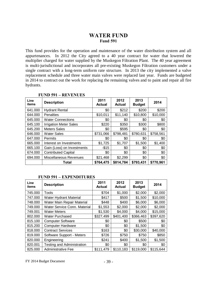## **WATER FUND Fund 591**

This fund provides for the operation and maintenance of the water distribution system and all appurtenances. In 2012 the City agreed to a 40 year contract for water that lowered the multiplier charged for water supplied by the Muskegon Filtration Plant. The 40 year agreement is multi-jurisdictional and incorporates all pre-existing Muskegon Filtration customers under a single contract with a long-term uniform rate structure. In 2013 the city implemented a valve replacement schedule and three water main valves were replaced last year. Funds are budgeted in 2014 to contract out the work for replacing the remaining valves and to paint and repair all fire hydrants.

| Line<br>items | <b>Description</b>            | 2011<br><b>Actual</b> | 2012<br><b>Actual</b> | 2013<br><b>Budget</b> | 2014      |
|---------------|-------------------------------|-----------------------|-----------------------|-----------------------|-----------|
| 641.000       | <b>Hydrant Rental</b>         | \$0                   | \$212                 | \$200                 | \$200     |
| 644.000       | Penalties                     | \$10,011              | \$11,140              | \$10,800              | \$10,000  |
| 645.000       | <b>Water Connections</b>      | \$0                   | \$0                   | \$0                   | \$0       |
| 645.100       | <b>Irrigation Meter Sales</b> | \$220                 | \$350                 | \$300                 | \$800     |
| 645.200       | <b>Meters Sales</b>           | \$0                   | \$595                 | \$0                   | \$0       |
| 646.000       | <b>Water Sales</b>            | \$731,066             | \$798,481             | \$780,631             | \$758,561 |
| 647.000       | <b>Permits</b>                | \$0                   | \$0                   | \$0                   | \$0       |
| 665.000       | Interest on Investments       | \$1,725               | \$1,707               | \$1,500               | \$1,400   |
| 665.100       | Gain (Loss) on Investments    | $-$15$                | \$0                   | \$0                   | \$0       |
| 674.000       | <b>Contributed Capital</b>    | \$0                   | \$0                   | \$0                   | \$0       |
| 694.000       | <b>Miscellaneous Revenues</b> | \$21,468              | \$2,299               | \$0                   | \$0       |
|               | Total                         | \$764,475             | \$814,784             | \$793,431             | \$770,961 |

#### **FUND 591 – REVENUES**

#### **FUND 591 – EXPENDITURES**

| Line<br>items | <b>Description</b>                | 2011<br><b>Actual</b> | 2012<br><b>Actual</b> | 2013<br><b>Budget</b> | 2014      |
|---------------|-----------------------------------|-----------------------|-----------------------|-----------------------|-----------|
| 745.000       | Tools                             | \$704                 | \$1,000               | \$2,000               | \$2,000   |
| 747.000       | <b>Water Hydrant Material</b>     | \$417                 | \$500                 | \$1,500               | \$10,000  |
| 748.000       | Water Main Repair Material        | \$448                 | \$400                 | \$6,000               | \$6,000   |
| 749.000       | Water Service Conn. Material      | \$1,553               | \$2,000               | \$2,000               | \$2,000   |
| 749.001       | <b>Water Meters</b>               | \$1,530               | \$4,000               | \$4,000               | \$15,000  |
| 802.000       | <b>Water Purchased</b>            | \$327,499             | \$401,400             | \$366,463             | \$397,620 |
| 815.100       | <b>Computer Software</b>          | \$0                   | \$0                   | \$500                 | \$0       |
| 815.200       | <b>Computer Hardware</b>          | \$0                   | \$0                   | \$1,500               | \$0       |
| 818.000       | <b>Contract Services</b>          | \$163                 | \$0                   | \$30,000              | \$40,000  |
| 819.000       | Software Support - Meters         | \$726                 | \$750                 | \$750                 | \$850     |
| 820.000       | Engineering                       | \$241                 | \$400                 | \$1,500               | \$1,500   |
| 820.001       | <b>Testing and Administration</b> | \$0                   | \$0                   | \$0                   | \$0       |
| 825.000       | Administrative Fee                | \$111,479             | \$110,183             | \$119,000             | \$115,644 |

 $FY$  2014 Budget Document  $-39$  -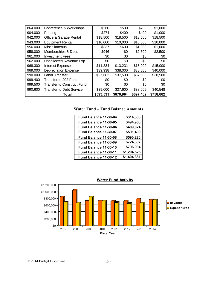| 864.000 | Conference & Workshops            | \$260     | \$500     | \$700     | \$1,000   |
|---------|-----------------------------------|-----------|-----------|-----------|-----------|
| 904.000 | Printing                          | \$274     | \$400     | \$400     | \$1,000   |
| 942.000 | Office & Garage Rental            | \$18,500  | \$18,500  | \$18,500  | \$18,500  |
| 943.000 | <b>Equipment Rental</b>           | \$10,000  | \$10,000  | \$10,000  | \$10,000  |
| 956.000 | Miscellaneous                     | \$337     | \$600     | \$1,000   | \$1,000   |
| 958.000 | Memberships & Dues                | \$946     | \$0       | \$2,500   | \$2,500   |
| 961.000 | <b>Investment Fees</b>            | \$0       | \$0       | \$0       | \$0       |
| 962.000 | Uncollected Revenue Exp           | \$0       | \$0       | \$0       | \$0       |
| 968.300 | <b>Interest Expense</b>           | \$11,834  | \$13,231  | \$15,000  | \$15,000  |
| 969.000 | <b>Depreciation Expense</b>       | \$39,938  | \$38,000  | \$38,000  | \$40,000  |
| 990.000 | Labor Transfer                    | \$27,682  | \$37,500  | \$37,500  | \$38,500  |
| 999.400 | Transfer to 202 Fund              | \$0       | \$0       | \$0       | \$0       |
| 999.500 | <b>Transfer to Construct Fund</b> | \$0       | \$0       | \$0       | \$0       |
| 990.600 | <b>Transfer to Debt Service</b>   | \$39,000  | \$37,600  | \$38,669  | \$40,548  |
|         | Total                             | \$593,531 | \$676,964 | \$697,482 | \$758,662 |

**Water Fund – Fund Balance Amounts**

| Fund Balance 11-30-04 | \$314,303   |
|-----------------------|-------------|
| Fund Balance 11-30-05 | \$494,963   |
| Fund Balance 11-30-06 | \$409,024   |
| Fund Balance 11-30-07 | \$591,499   |
| Fund Balance 11-30-08 | \$590,220   |
| Fund Balance 11-30-09 | \$724,307   |
| Fund Balance 11-30-10 | \$796,994   |
| Fund Balance 11-30-11 | \$1,204,525 |
| Fund Balance 11-30-12 | \$1,404,381 |

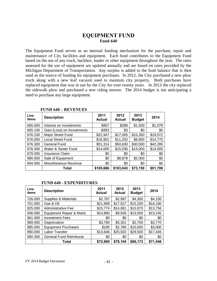## **EQUIPMENT FUND Fund 640**

The Equipment Fund serves as an internal funding mechanism for the purchase, repair and maintenance of City facilities and equipment. Each fund contributes to the Equipment Fund based on the use of any truck, backhoe, loader or other equipment throughout the year. The rates assessed for the use of equipment are updated annually and are based on rates provided by the Michigan Department of Transportation. Any surplus is added to the fund balance that is then used as the source of funding for equipment purchases. In 2012, the City purchased a new plow truck along with a new leaf vacuum used to maintain city property. Both purchases have replaced equipment that was in use by the City for over twenty years. In 2013 the city replaced the sidewalk plow and purchased a new riding mower. The 2014 budget is not anticipating a need to purchase any large equipment.

| Line<br>items | <b>Description</b>         | 2011<br><b>Actual</b> | 2012<br>Actual | 2013<br><b>Budget</b> | 2014     |
|---------------|----------------------------|-----------------------|----------------|-----------------------|----------|
| 665.000       | Interest on Investments    | \$907                 | \$289          | \$1,500               | \$1,079  |
| 665.100       | Gain (Loss) on Investments | $-$ \$383             | \$3            | \$0                   | \$0      |
| 676.100       | Major Street Fund          | \$22,947              | \$17,005       | \$15,350              | \$19,572 |
| 676.000       | <b>Local Street Fund</b>   | \$16,901              | \$11,202       | \$9,800               | \$14,770 |
| 676.300       | General Fund               | \$51,314              | \$50,630       | \$30,500              | \$42,285 |
| 676,400       | Water & Sewer Fund         | \$14,000              | \$15,036       | \$14,000              | \$14,000 |
| 679.000       | <b>Insurance Claim</b>     | \$0                   | \$0            | \$0                   | \$0      |
| 680.000       | Sale of Equipment          | \$0                   | \$8,878        | \$2,000               | \$0      |
| 694.000       | Miscellaneous Revenue      | \$0                   | \$0            | \$0                   | \$0      |
|               | Total                      | \$105,686             | \$103,043      | \$73,150              | \$91,706 |

#### **FUND 640 – REVENUES**

#### **FUND 640 - EXPENDITURES**

| Line<br>items | <b>Description</b>            | 2011<br><b>Actual</b> | 2012<br><b>Actual</b> | 2013<br><b>Budget</b> | 2014     |
|---------------|-------------------------------|-----------------------|-----------------------|-----------------------|----------|
| 726.000       | Supplies & Materials          | \$2,787               | \$2,987               | \$4,300               | \$4,150  |
| 751.000       | Gas & Oil                     | \$21,808              | \$17,527              | \$15,200              | \$16,180 |
| 825.000       | Administrative Fee            | \$15,774              | \$14,081              | \$10,973              | \$13,756 |
| 936.000       | Equipment Repair & Maint.     | \$14,880              | \$9,926               | \$13,500              | \$13,245 |
| 961.000       | <b>Investment Fees</b>        | \$0                   | \$0                   | \$0                   | \$0      |
| 969.000       | Depreciation                  | \$3,780               | \$5,301               | \$2,700               | \$3,770  |
| 985.000       | <b>Equipment Purchases</b>    | \$185                 | \$2,780               | \$10,000              | \$3,000  |
| 990.000       | Labor Transfer                | \$13,646              | \$25,502              | \$29,500              | \$17,445 |
| 990.300       | <b>General Fund Reimburse</b> | \$0                   | \$0                   | \$0                   | \$0      |
|               | Total                         | \$72,860              | \$78,104              | \$86,173              | \$71,546 |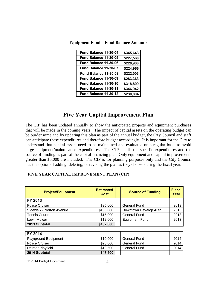| Fund Balance 11-30-04 | \$345,643 |
|-----------------------|-----------|
| Fund Balance 11-30-05 | \$227,560 |
| Fund Balance 11-30-06 | \$220,908 |
| Fund Balance 11-30-07 | \$224,966 |
| Fund Balance 11-30-08 | \$222,003 |
| Fund Balance 11-30-09 | \$283,363 |
| Fund Balance 11-30-10 | \$318,809 |
| Fund Balance 11-30-11 | \$346,942 |
| Fund Balance 11-30-12 | \$230,804 |

**Equipment Fund – Fund Balance Amounts**

## **Five Year Capital Improvement Plan**

The CIP has been updated annually to show the anticipated projects and equipment purchases that will be made in the coming years. The impact of capital assets on the operating budget can be burdensome and by updating this plan as part of the annual budget, the City Council and staff can anticipate these expenditures and therefore budget accordingly. It is important for the City to understand that capital assets need to be maintained and evaluated on a regular basis to avoid large equipment/maintenance expenditures. The CIP details the specific expenditures and the source of funding as part of the capital financing plan. Only equipment and capital improvements greater than \$5,000 are included. The CIP is for planning purposes only and the City Council has the option of adding, deleting, or revising the plan as they choose during the fiscal year.

#### **FIVE YEAR CAPITAL IMPROVEMENT PLAN (CIP)**

| <b>Project/Equipment</b> | <b>Estimated</b><br><b>Cost</b> | <b>Source of Funding</b> | <b>Fiscal</b><br>Year |
|--------------------------|---------------------------------|--------------------------|-----------------------|
| FY 2013                  |                                 |                          |                       |
| <b>Police Cruiser</b>    | \$25,000                        | <b>General Fund</b>      | 2013                  |
| Sidewalk - Norton Avenue | \$100,000                       | Downtown Develop Auth.   | 2013                  |
| <b>Tennis Courts</b>     | \$15,000                        | <b>General Fund</b>      | 2013                  |
| Lawn Mower               | \$12,000                        | <b>Equipment Fund</b>    | 2013                  |
| 2013 Subtotal            | \$152,000                       |                          |                       |

| FY 2014                     |          |                     |      |
|-----------------------------|----------|---------------------|------|
| <b>Playground Equipment</b> | \$10,000 | General Fund        | 2014 |
| <b>Police Cruiser</b>       | \$25,000 | General Fund        | 2014 |
| Delmar Playfield            | \$12,500 | <b>General Fund</b> | 2014 |
| 2014 Subtotal               | \$47,500 |                     |      |

 $FY$  2014 Budget Document  $-42$  -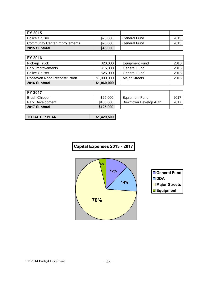| FY 2015                              |          |              |      |
|--------------------------------------|----------|--------------|------|
| <b>Police Cruiser</b>                | \$25,000 | General Fund | 2015 |
| <b>Community Center Improvements</b> | \$20,000 | General Fund | 2015 |
| 2015 Subtotal                        | \$45,000 |              |      |

| FY 2016                       |             |                      |      |
|-------------------------------|-------------|----------------------|------|
| Pick-up Truck                 | \$20,000    | Equipment Fund       | 2016 |
| Park Improvements             | \$15,000    | <b>General Fund</b>  | 2016 |
| <b>Police Cruiser</b>         | \$25,000    | <b>General Fund</b>  | 2016 |
| Roosevelt Road Reconstruction | \$1,000,000 | <b>Major Streets</b> | 2016 |
| 2016 Subtotal                 | \$1,060,000 |                      |      |

| <b>FY 2017</b>       |           |                        |      |
|----------------------|-----------|------------------------|------|
| <b>Brush Chipper</b> | \$25,000  | <b>Equipment Fund</b>  | 2017 |
| Park Development     | \$100,000 | Downtown Develop Auth. | 2017 |
| 2017 Subtotal        | \$125,000 |                        |      |

| <b>TOTAL CIP PLAN</b> | \$1.429.500 |
|-----------------------|-------------|
|-----------------------|-------------|



| <b>□ General Fund</b>    |
|--------------------------|
| $\Box$ DDA               |
| <b>□ Major Streets</b>   |
| $\blacksquare$ Equipment |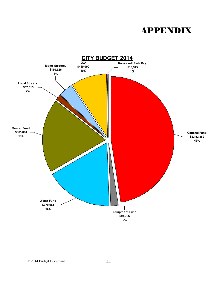## APPENDIX

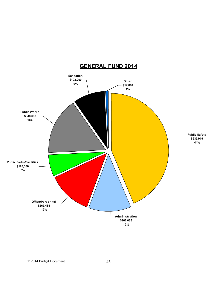

## **GENERAL FUND 2014**